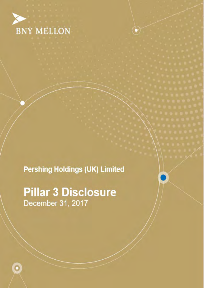

**Pershing Holdings (UK) Limited** 

**Pillar 3 Disclosure** December 31, 2017

 $\bullet$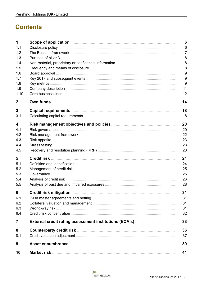# **Contents**

| 1              |                                                                        | 6              |
|----------------|------------------------------------------------------------------------|----------------|
| 1.1            |                                                                        | 6              |
| 1.2            |                                                                        | $\overline{7}$ |
| 1.3            |                                                                        | 8              |
| 1.4            |                                                                        | 8              |
| 1.5            |                                                                        | 8              |
| 1.6            |                                                                        | 9              |
| 1.7            |                                                                        | 9              |
| 1.8            |                                                                        | 9              |
| 1.9            |                                                                        | 11             |
| 1.10           |                                                                        | 12             |
| 2              | Own funds                                                              | 14             |
| 3              |                                                                        | 18             |
| 3.1            |                                                                        | 18             |
| 4              |                                                                        | 20             |
| 4.1            |                                                                        | 20             |
| 4.2            |                                                                        | 22             |
| 4.3            |                                                                        | 23             |
| 4.4            |                                                                        | 23             |
| 4.5            |                                                                        | 23             |
| 5              |                                                                        | 24             |
| 5.1            |                                                                        | 24             |
| 5.2            |                                                                        | 25             |
| 5.3            |                                                                        | 25             |
| 5.4            |                                                                        | 26             |
| 5.5            |                                                                        | 28             |
| 6              | Credit risk mitigation <b>communication</b> and credit risk mitigation | 31             |
| 6.1            |                                                                        | 31             |
| 6.2            |                                                                        | 31             |
| 6.3            |                                                                        | 31             |
| 6.4            |                                                                        | 32             |
| $\overline{7}$ |                                                                        | 33             |
| 8              |                                                                        | 36             |
| 8.1            |                                                                        | 37             |
| 9              |                                                                        | 39             |
| 10             |                                                                        | 41             |

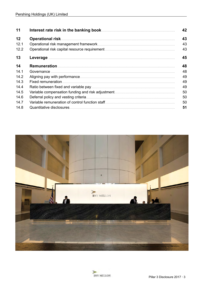| 11   | 42 |
|------|----|
| 12   | 43 |
| 12.1 | 43 |
| 12.2 | 43 |
| 13   | 45 |
| 14   | 48 |
| 14.1 | 48 |
| 14.2 | 49 |
| 14.3 | 49 |
| 14.4 | 49 |
| 14.5 | 50 |
| 14.6 | 50 |
| 14.7 | 50 |
| 14.8 | 51 |



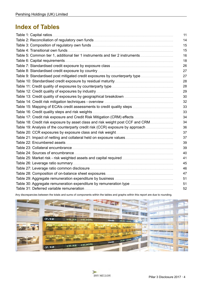# **Index of Tables**

|                                                                                | 11 |
|--------------------------------------------------------------------------------|----|
|                                                                                | 14 |
|                                                                                | 15 |
|                                                                                | 15 |
| Table 5: Common tier 1, additional tier 1 instruments and tier 2 instruments   | 16 |
|                                                                                | 18 |
|                                                                                | 26 |
|                                                                                | 27 |
| Table 9: Standardised post mitigated credit exposures by counterparty type     | 27 |
|                                                                                | 28 |
|                                                                                | 28 |
|                                                                                | 29 |
|                                                                                | 30 |
|                                                                                | 32 |
|                                                                                | 33 |
|                                                                                | 33 |
|                                                                                | 34 |
| Table 18: Credit risk exposure by asset class and risk weight post CCF and CRM | 34 |
| Table 19: Analysis of the counterparty credit risk (CCR) exposure by approach  | 36 |
|                                                                                | 37 |
|                                                                                | 37 |
|                                                                                | 39 |
|                                                                                | 39 |
|                                                                                | 40 |
|                                                                                | 41 |
|                                                                                | 45 |
|                                                                                | 46 |
|                                                                                | 47 |
|                                                                                | 51 |
|                                                                                | 51 |
|                                                                                | 52 |

Any discrepancies between the totals and sums of components within the tables and graphs within this report are due to rounding.



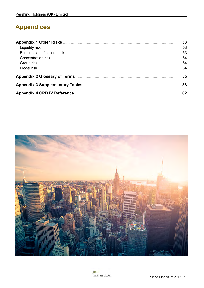# **Appendices**

|                                    | 53 |
|------------------------------------|----|
|                                    | 53 |
|                                    | 53 |
|                                    | 54 |
|                                    | 54 |
|                                    | 54 |
|                                    | 55 |
|                                    | 58 |
| <b>Appendix 4 CRD IV Reference</b> | 62 |



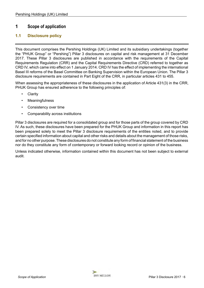### <span id="page-5-0"></span>**1 Scope of application**

### **1.1 Disclosure policy**

This document comprises the Pershing Holdings (UK) Limited and its subsidiary undertakings (together the "PHUK Group" or "Pershing") Pillar 3 disclosures on capital and risk management at 31 December 2017. These Pillar 3 disclosures are published in accordance with the requirements of the Capital Requirements Regulation (CRR) and the Capital Requirements Directive (CRD) referred to together as CRD IV, which came into effect on 1 January 2014. CRD IV has the effect of implementing the international Basel III reforms of the Basel Committee on Banking Supervision within the European Union. The Pillar 3 disclosure requirements are contained in Part Eight of the CRR, in particular articles 431 to 455.

When assessing the appropriateness of these disclosures in the application of Article 431(3) in the CRR, PHUK Group has ensured adherence to the following principles of:

- Clarity
- **Meaningfulness**
- Consistency over time
- Comparability across institutions

Pillar 3 disclosures are required for a consolidated group and for those parts of the group covered by CRD IV. As such, these disclosures have been prepared for the PHUK Group and information in this report has been prepared solely to meet the Pillar 3 disclosure requirements of the entities noted, and to provide certain specified information about capital and other risks and details about the management of those risks, and for no other purpose. These disclosures do not constitute any form of financial statement of the business nor do they constitute any form of contemporary or forward looking record or opinion of the business.

Unless indicated otherwise, information contained within this document has not been subject to external audit.

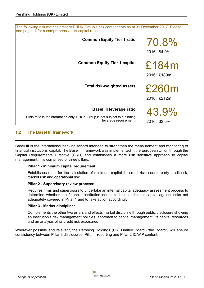<span id="page-6-0"></span>

| The following risk metrics present PHUK Group's risk components as at 31 December 2017. Please<br>see page 11 for a comprehensive list capital ratios. |                      |  |
|--------------------------------------------------------------------------------------------------------------------------------------------------------|----------------------|--|
| <b>Common Equity Tier 1 ratio</b>                                                                                                                      | 70.8%<br>2016: 84.9% |  |
| <b>Common Equity Tier 1 capital</b>                                                                                                                    | £184m<br>2016: £180m |  |
| <b>Total risk-weighted assets</b>                                                                                                                      | £260m<br>2016: £212m |  |
| Basel III leverage ratio                                                                                                                               | 43.9%                |  |
| (This ratio is for information only. PHUK Group is not subject to a binding<br>leverage requirement)                                                   | 2016: 33.5%          |  |

### **1.2 The Basel III framework**

Basel III is the international banking accord intended to strengthen the measurement and monitoring of financial institutions' capital. The Basel III framework was implemented in the European Union through the Capital Requirements Directive (CRD) and establishes a more risk sensitive approach to capital management. It is comprised of three pillars:

#### **Pillar 1 - Minimum capital requirement:**

Establishes rules for the calculation of minimum capital for credit risk, counterparty credit risk, market risk and operational risk

#### **Pillar 2 - Supervisory review process:**

Requires firms and supervisors to undertake an internal capital adequacy assessment process to determine whether the financial institution needs to hold additional capital against risks not adequately covered in Pillar 1 and to take action accordingly

#### **Pillar 3 - Market discipline:**

Complements the other two pillars and effects market discipline through public disclosure showing an institution's risk management policies, approach to capital management, its capital resources and an analysis of its credit risk exposures

Wherever possible and relevant, the Pershing Holdings (UK) Limited Board ("the Board") will ensure consistency between Pillar 3 disclosures, Pillar 1 reporting and Pillar 2 ICAAP content.

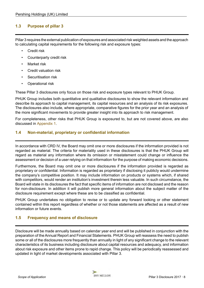### <span id="page-7-0"></span>**1.3 Purpose of pillar 3**

Pillar 3 requires the external publication of exposures and associated risk weighted assets and the approach to calculating capital requirements for the following risk and exposure types:

- **Credit risk**
- Counterparty credit risk
- **Market risk**
- Credit valuation risk
- Securitisation risk
- Operational risk

These Pillar 3 disclosures only focus on those risk and exposure types relevant to PHUK Group.

PHUK Group includes both quantitative and qualitative disclosures to show the relevant information and describe its approach to capital management, its capital resources and an analysis of its risk exposures. The disclosures also include, where appropriate, comparative figures for the prior year and an analysis of the more significant movements to provide greater insight into its approach to risk management.

For completeness, other risks that PHUK Group is exposured to, but are not covered above, are also discussed in [Appendix 1.](#page-52-0)

### **1.4 Non-material, proprietary or confidential information**

In accordance with CRD IV, the Board may omit one or more disclosures if the information provided is not regarded as material. The criteria for materiality used in these disclosures is that the PHUK Group will regard as material any information where its omission or misstatement could change or influence the assessment or decision of a user relying on that information for the purpose of making economic decisions.

Furthermore, the Board may omit one or more disclosures if the information provided is regarded as proprietary or confidential. Information is regarded as proprietary if disclosing it publicly would undermine the company's competitive position. It may include information on products or systems which, if shared with competitors, would render an institution's investment therein less valuable. In such circumstance, the Board will state in its disclosures the fact that specific items of information are not disclosed and the reason for non-disclosure. In addition it will publish more general information about the subject matter of the disclosure requirement except where these are to be classified as confidential.

PHUK Group undertakes no obligation to revise or to update any forward looking or other statement contained within this report regardless of whether or not those statements are affected as a result of new information or future events.

### **1.5 Frequency and means of disclosure**

Disclosure will be made annually based on calendar year end and will be published in conjunction with the preparation of the Annual Report and Financial Statements. PHUK Group will reassess the need to publish some or all of the disclosures more frequently than annually in light of any significant change to the relevant characteristics of its business including disclosure about capital resources and adequacy, and information about risk exposure and other items prone to rapid change. This policy will be periodically reassessed and updated in light of market developments associated with Pillar 3.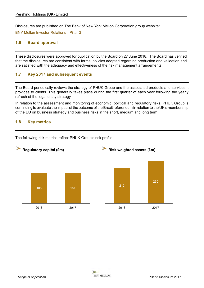<span id="page-8-0"></span>Disclosures are published on The Bank of New York Mellon Corporation group website:

[BNY Mellon Investor Relations - Pillar 3](https://www.bnymellon.com/us/en/investor-relations/other-regulatory.jsp#pillar3) 

### **1.6 Board approval**

These disclosures were approved for publication by the Board on 27 June 2018. The Board has verified that the disclosures are consistent with formal policies adopted regarding production and validation and are satisfied with the adequacy and effectiveness of the risk management arrangements.

### **1.7 Key 2017 and subsequent events**

The Board periodically reviews the strategy of PHUK Group and the associated products and services it provides to clients. This generally takes place during the first quarter of each year following the yearly refresh of the legal entity strategy.

In relation to the assessment and monitoring of economic, political and regulatory risks, PHUK Group is continuing to evaluate the impact of the outcome of the Brexit referendum in relation to the UK's membership of the EU on business strategy and business risks in the short, medium and long term.

### **1.8 Key metrics**



The following risk metrics reflect PHUK Group's risk profile:

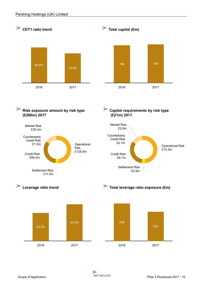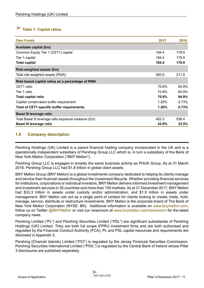# <span id="page-10-0"></span>**Table 1: Capital ratios**

| <b>Own Funds</b>                                     | 2017  | 2016  |
|------------------------------------------------------|-------|-------|
| <b>Available capital (£m)</b>                        |       |       |
| Common Equity Tier 1 (CET1) capital                  | 184.4 | 179.9 |
| Tier 1 capital                                       | 184.4 | 179.9 |
| <b>Total capital</b>                                 | 184.4 | 179.9 |
| <b>Risk-weighted assets (£m)</b>                     |       |       |
| Total risk-weighted assets (RWA)                     | 260.5 | 211.9 |
| Risk-based capital ratios as a percentage of RWA     |       |       |
| CET1 ratio                                           | 70.8% | 84.9% |
| Tier 1 ratio                                         | 70.8% | 84.9% |
| <b>Total capital ratio</b>                           | 70.8% | 84.9% |
| Capital conservation buffer requirement              | 1.20% | 0.73% |
| <b>Total of CET1 specific buffer requirements</b>    | 1.20% | 0.73% |
| <b>Basel III leverage ratio</b>                      |       |       |
| Total Basel III leverage ratio exposure measure (£m) | 420.3 | 536.4 |
| <b>Basel III leverage ratio</b>                      | 43.9% | 33.5% |

### **1.9 Company description**

Pershing Holdings (UK) Limited is a parent financial holding company incorporated in the UK and is a operationally independent subsidiary of Pershing Group LLC which is, in turn a subsidiary of the Bank of New York Mellon Corporation ("BNY Mellon").

Pershing Group LLC is engaged in broadly the same business activity as PHUK Group. As at 31 March 2018, Pershing Group LLC had \$1.8 trillion in global client assets.

BNY Mellon Group (BNY Mellon) is a global investments company dedicated to helping its clients manage and service their financial assets throughout the investment lifecycle. Whether providing financial services for institutions, corporations or individual investors, BNY Mellon delivers informed investment management and investment services in 35 countries and more than 100 markets. As at 31 December 2017, BNY Mellon had \$33.3 trillion in assets under custody and/or administration, and \$1.9 trillion in assets under management. BNY Mellon can act as a single point of contact for clients looking to create, trade, hold, manage, service, distribute or restructure investments. BNY Mellon is the corporate brand of The Bank of New York Mellon Corporation (NYSE: BK). Additional information is available on [www.bnymellon.com,](https://www.bnymellon.com/us/en/home.jsp) follow us on Twitter @BNYMellon or visit our newsroom at [www.bnymellon.com/newsroom](https://www.bnymellon.com/us/en/newsroom/index.jsp#?page=1) for the latest company news.

 regulated by the Financial Conduct Authority (FCA). PL and PSL capital resources and requirements are Pershing Limited ("PL") and Pershing Securities Limited ("PSL") are significant subsidiaries of Pershing Holdings (UK) Limited. They are both full scope IFPRU investment firms and are both authorised and disclosed in Appendix 3.

Pershing (Channel Islands) Limited ("PCI") is regulated by the Jersey Financial Securities Commission. Pershing Securities International Limited ("PSIL") is regulated by the Central Bank of Ireland whose Pillar 3 disclosures are published separately.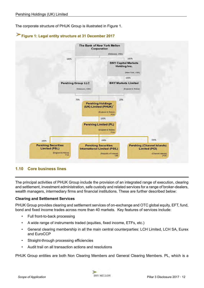<span id="page-11-0"></span>The corporate structure of PHUK Group is illustrated in Figure 1.





### **1.10 Core business lines**

The principal activities of PHUK Group include the provision of an integrated range of execution, clearing and settlement, investment administration, safe custody and related services for a range of broker-dealers, wealth managers, intermediary firms and financial institutions. These are further described below:

#### **Clearing and Settlement Services**

PHUK Group provides clearing and settlement services of on-exchange and OTC global equity, EFT, fund, bond and fixed income trades across more than 40 markets. Key features of services include:

- Full front-to-back processing
- A wide range of instruments traded (equities, fixed income, ETFs, etc.)
- General clearing membership in all the main central counterparties: LCH Limited, LCH SA, Eurex and EuroCCP
- Straight-through processing efficiencies
- Audit trail on all transaction actions and resolutions

PHUK Group entities are both Non Clearing Members and General Clearing Members. PL, which is a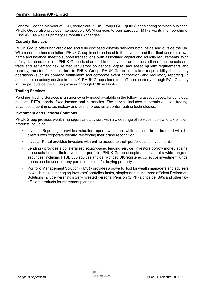General Clearing Member of LCH, carries out PHUK Group LCH Equity Clear clearing services business. PHUK Group also provides interoperable GCM services to pan European MTFs via its membership of EuroCCP, as well as primary European Exchanges.

#### **Custody Services**

PHUK Group offers non-disclosed and fully disclosed custody services both inside and outside the UK. With a non-disclosed solution, PHUK Group is not disclosed to the investor and the client uses their own name and balance sheet to support transactions, with associated capital and liquidity requirements. With a fully disclosed solution, PHUK Group is disclosed to the investor as the custodian of their assets and trade and settlement risk, related regulatory obligations, capital and asset liquidity requirements and custody, transfer from the client to PHUK Group. PHUK Group also takes responsibility for custody operations (such as dividend entitlement and corporate event notification) and regulatory reporting. In addition to a custody service in the UK, PHUK Group also offers offshore custody through PCI. Custody in Europe, outside the UK, is provided through PSIL in Dublin.

#### **Trading Services**

Pershing Trading Services is an agency only model available in the following asset classes: funds, global equities, ETFs, bonds, fixed income and currencies. The service includes electronic equities trading, advanced algorithmic technology and best of breed smart order routing technologies.

#### **Investment and Platform Solutions**

PHUK Group provides wealth managers and advisers with a wide range of services, tools and tax-efficient products including

- Investor Reporting provides valuation reports which are white-labelled to be branded with the client's own corporate identity, reinforcing their brand recognition
- Investor Portal provides investors with online access to their portfolios and investments
- Lending provides a collateralised equity-based lending service. Investors borrow money against the assets held in their investment portfolio. PHUK Group accepts as collateral a wide range of securities, including FTSE 350 equities and daily-priced UK registered collective investment funds. Loans can be used for any purpose, except for buying property
- Portfolio Management Solution (PMS) provides a powerful tool for wealth managers and advisers to which makes managing investors' portfolios faster, simpler and much more efficient Retirement Solutions include Pershing's Self-Invested Personal Pension (SIPP) alongside ISA's and other taxefficient products for retirement planning

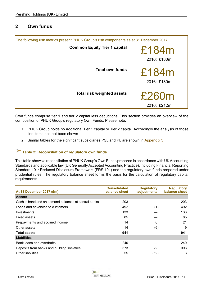### <span id="page-13-0"></span>**2 Own funds**

| The following risk metrics present PHUK Group's risk components as at 31 December 2017. |                      |  |
|-----------------------------------------------------------------------------------------|----------------------|--|
| <b>Common Equity Tier 1 capital</b>                                                     | £184m<br>2016: £180m |  |
| <b>Total own funds</b>                                                                  | £184m<br>2016: £180m |  |
| <b>Total risk weighted assets</b>                                                       | £260m<br>2016: £212m |  |

Own funds comprise tier 1 and tier 2 capital less deductions. This section provides an overview of the composition of PHUK Group's regulatory Own Funds. Please note;

- 1. PHUK Group holds no Additional Tier 1 capital or Tier 2 capital. Accordingly the analysis of those line items has not been shown
- 2. Similar tables for the significant subsidiaries PSL and PL are shown in [Appendix 3](#page-57-0)

# **Table 2: Reconciliation of regulatory own funds**

This table shows a reconciliation of PHUK Group's Own Funds prepared in accordance with UK Accounting Standards and applicable law (UK Generally Accepted Accounting Practice), including Financial Reporting Standard 101: Reduced Disclosure Framework (FRS 101) and the regulatory own funds prepared under prudential rules. The regulatory balance sheet forms the basis for the calculation of regulatory capital requirements.

| At 31 December 2017 (£m)                             | <b>Consolidated</b><br>balance sheet | <b>Regulatory</b><br>adjustments | <b>Regulatory</b><br>balance sheet |
|------------------------------------------------------|--------------------------------------|----------------------------------|------------------------------------|
| <b>Assets</b>                                        |                                      |                                  |                                    |
| Cash in hand and on demand balances at central banks | 203                                  |                                  | 203                                |
| Loans and advances to customers                      | 492                                  | (1)                              | 492                                |
| Investments                                          | 133                                  |                                  | 133                                |
| <b>Fixed assets</b>                                  | 85                                   |                                  | 85                                 |
| Prepayments and accrued income                       | 14                                   | 6                                | 21                                 |
| Other assets                                         | 14                                   | (6)                              | 9                                  |
| <b>Total assets</b>                                  | 941                                  |                                  | 941                                |
| <b>Liabilities</b>                                   |                                      |                                  |                                    |
| Bank loans and overdrafts                            | 240                                  |                                  | 240                                |
| Deposits from banks and building societies           | 373                                  | 22                               | 396                                |
| <b>Other liabilities</b>                             | 55                                   | (52)                             | 3                                  |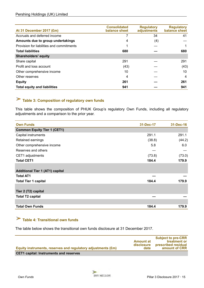<span id="page-14-0"></span>

| At 31 December 2017 (£m)                  | <b>Consolidated</b><br>balance sheet | <b>Regulatory</b><br>adjustments | <b>Regulatory</b><br>balance sheet |
|-------------------------------------------|--------------------------------------|----------------------------------|------------------------------------|
| Accruals and deferred income              |                                      | 34                               | 41                                 |
| Amounts due to group undertakings         | 4                                    | (4)                              |                                    |
| Provision for liabilities and commitments |                                      |                                  |                                    |
| <b>Total liabilities</b>                  | 680                                  |                                  | 680                                |
| <b>Shareholders' equity</b>               |                                      |                                  |                                    |
| Share capital                             | 291                                  |                                  | 291                                |
| Profit and loss account                   | (43)                                 |                                  | (43)                               |
| Other comprehensive income                | 10                                   |                                  | 10                                 |
| Other reserves                            | 4                                    |                                  | 4                                  |
| <b>Equity</b>                             | 261                                  |                                  | 261                                |
| <b>Total equity and liabilities</b>       | 941                                  |                                  | 941                                |

# **Table 3: Composition of regulatory own funds**

This table shows the composition of PHUK Group's regulatory Own Funds, including all regulatory adjustments and a comparison to the prior year.

| <b>Own Funds</b>                       | 31-Dec-17 | 31-Dec-16 |
|----------------------------------------|-----------|-----------|
| <b>Common Equity Tier 1 (CET1)</b>     |           |           |
| Capital instruments                    | 291.1     | 291.1     |
| Retained earnings                      | (38.8)    | (44.2)    |
| Other comprehensive income             | 5.8       | 6.0       |
| Reserves and others                    |           |           |
| CET1 adjustments                       | (73.8)    | (73.0)    |
| <b>Total CET1</b>                      | 184.4     | 179.9     |
|                                        |           |           |
| <b>Additional Tier 1 (AT1) capital</b> |           |           |
| <b>Total AT1</b>                       |           |           |
| <b>Total Tier 1 capital</b>            | 184.4     | 179.9     |
|                                        |           |           |
| Tier 2 (T2) capital                    |           |           |
| <b>Total T2 capital</b>                |           |           |
|                                        |           |           |
| <b>Total Own Funds</b>                 | 184.4     | 179.9     |

# **Table 4: Transitional own funds**

The table below shows the transitional own funds disclosure at 31 December 2017.

| Equity instruments, reserves and regulatory adjustments (£m) | Amount at<br>disclosure<br>date | <b>Subject to pre-CRR</b><br>treatment or<br>prescribed residual<br>amount of CRR |
|--------------------------------------------------------------|---------------------------------|-----------------------------------------------------------------------------------|
| <b>CET1 capital: Instruments and reserves</b>                |                                 |                                                                                   |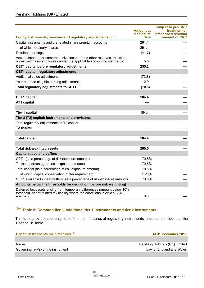<span id="page-15-0"></span>

|                                                                                                                                                                        | <b>Amount at</b><br>disclosure | <b>Subject to pre-CRR</b><br>treatment or<br>prescribed residual |
|------------------------------------------------------------------------------------------------------------------------------------------------------------------------|--------------------------------|------------------------------------------------------------------|
| Equity instruments, reserves and regulatory adjustments (£m)                                                                                                           | date                           | amount of CRR                                                    |
| Capital instruments and the related share premium accounts                                                                                                             | 291.1                          |                                                                  |
| of which: ordinary shares                                                                                                                                              | 291.1                          |                                                                  |
| Retained earnings                                                                                                                                                      | (41.7)                         |                                                                  |
| Accumulated other comprehensive income (and other reserves, to include<br>unrealised gains and losses under the applicable accounting standards)                       | 5.8                            |                                                                  |
| CET1 capital before regulatory adjustments                                                                                                                             | 255.2                          |                                                                  |
| <b>CET1 capital: regulatory adjustments</b>                                                                                                                            |                                |                                                                  |
| Additional value adjustments                                                                                                                                           | (73.8)                         |                                                                  |
| Year end non elegible earning adjustments                                                                                                                              | 2.9                            |                                                                  |
| Total regulatory adjustments to CET1                                                                                                                                   | (70.8)                         |                                                                  |
|                                                                                                                                                                        |                                |                                                                  |
| <b>CET1</b> capital                                                                                                                                                    | 184.4                          |                                                                  |
| <b>AT1 capital</b>                                                                                                                                                     |                                |                                                                  |
|                                                                                                                                                                        |                                |                                                                  |
| <b>Tier 1 capital</b>                                                                                                                                                  | 184.4                          |                                                                  |
| Tier 2 (T2) capital: Instruments and provisions                                                                                                                        |                                |                                                                  |
| Total regulatory adjustments to T2 capital                                                                                                                             |                                |                                                                  |
| <b>T2 capital</b>                                                                                                                                                      |                                |                                                                  |
|                                                                                                                                                                        |                                |                                                                  |
| <b>Total capital</b>                                                                                                                                                   | 184.4                          |                                                                  |
|                                                                                                                                                                        |                                |                                                                  |
| <b>Total risk weighted assets</b>                                                                                                                                      | 260.5                          |                                                                  |
| <b>Capital ratios and buffers</b>                                                                                                                                      |                                |                                                                  |
| CET1 (as a percentage of risk exposure amount)                                                                                                                         | 70.8%                          |                                                                  |
| T1 (as a percentage of risk exposure amount)                                                                                                                           | 70.8%                          |                                                                  |
| Total capital (as a percentage of risk exposure amount)                                                                                                                | 70.8%                          |                                                                  |
| of which: capital conservation buffer requirement                                                                                                                      | 1.20%                          |                                                                  |
| CET1 available to meet buffers (as a percentage of risk exposure amount)                                                                                               | 70.8%                          |                                                                  |
| Amounts below the thresholds for deduction (before risk weighting)                                                                                                     |                                |                                                                  |
| Deferred tax assets arising from temporary differences (amount below 10%<br>threshold, net of related tax liability where the conditions in Article 38 (3)<br>are met) | 0.8                            |                                                                  |
|                                                                                                                                                                        |                                |                                                                  |

# **Table 5: Common tier 1, additional tier 1 instruments and tier 2 instruments**

This table provides a description of the main features of regulatory instruments issued and included as tier 1 capital in Table 2.

| Capital instruments main features <sup>(1)</sup> | At 31 December 2017            |
|--------------------------------------------------|--------------------------------|
| <b>Issuer</b>                                    | Pershing Holdings (UK) Limited |
| Governing law(s) of the instrument               | Law of England and Wales       |
|                                                  |                                |

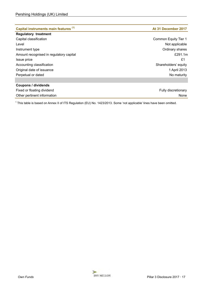| Capital instruments main features (1)   | At 31 December 2017  |
|-----------------------------------------|----------------------|
| <b>Regulatory treatment</b>             |                      |
| Capital classification                  | Common Equity Tier 1 |
| Level                                   | Not applicable       |
| Instrument type                         | Ordinary shares      |
| Amount recognised in regulatory capital | £291.1 $m$           |
| Issue price                             | £1                   |
| Accounting classification               | Shareholders' equity |
| Original date of issuance               | 1 April 2013         |
| Perpetual or dated                      | No maturity          |
|                                         |                      |
| <b>Coupons / dividends</b>              |                      |
| Fixed or floating dividend              | Fully discretionary  |
| Other pertinent information             | None                 |

<sup>1</sup> This table is based on Annex II of ITS Regulation (EU) No. 1423/2013. Some 'not applicable' lines have been omitted.

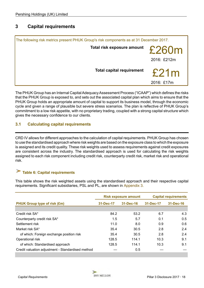### <span id="page-17-0"></span>**3 Capital requirements**

| The following risk metrics present PHUK Group's risk components as at 31 December 2017. |                                  |                    |
|-----------------------------------------------------------------------------------------|----------------------------------|--------------------|
|                                                                                         | Total risk exposure amount £260m | 2016: £212m        |
|                                                                                         | <b>Total capital requirement</b> | £21m<br>2016: £17m |

The PHUK Group has an Internal Capital Adequacy Assessment Process ("ICAAP") which defines the risks that the PHUK Group is exposed to, and sets out the associated capital plan which aims to ensure that the PHUK Group holds an appropriate amount of capital to support its business model, through the economic cycle and given a range of plausible but severe stress scenarios. The plan is reflective of PHUK Group's commitment to a low risk appetite, with no proprietary trading, coupled with a strong capital structure which gives the necessary confidence to our clients.

### **3.1 Calculating capital requirements**

CRD IV allows for different approaches to the calculation of capital requirements. PHUK Group has chosen to use the standardised approach where risk weights are based on the exposure class to which the exposure is assigned and its credit quality. These risk weights used to assess requirements against credit exposures are consistent across the industry. The standardised approach is used for calculating the risk weights assigned to each risk component including credit risk, counterparty credit risk, market risk and operational risk.

### **Table 6: Capital requirements**

This table shows the risk weighted assets using the standardised approach and their respective capital requirements. Significant subsidiaries, PSL and PL, are shown in [Appendix 3.](#page-57-0)

|                                                   | <b>Risk exposure amount</b><br><b>Capital requirements</b> |                 |           |               |
|---------------------------------------------------|------------------------------------------------------------|-----------------|-----------|---------------|
| <b>PHUK Group type of risk (£m)</b>               | 31-Dec-17                                                  | $31 - Dec - 16$ | 31-Dec-17 | 31-Dec-16     |
|                                                   |                                                            |                 |           |               |
| Credit risk SA*                                   | 84.2                                                       | 53.2            | 6.7       | 4.3           |
| Counterparty credit risk SA*                      | 1.5                                                        | 5.7             | 0.1       | $0.5^{\circ}$ |
| Settlement risk                                   | 11.0                                                       | 8.0             | 0.9       | 0.6           |
| Market risk SA*                                   | 35.4                                                       | 30.5            | 2.8       | 2.4           |
| of which: Foreign exchange position risk          | 35.4                                                       | 30.5            | 2.8       | 2.4           |
| Operational risk                                  | 128.5                                                      | 114.1           | 10.3      | 9.1           |
| of which: Standardised approach                   | 128.5                                                      | 114.1           | 10.3      | 9.1           |
| Credit valuation adjustment - Standardised method |                                                            | 0.5             |           |               |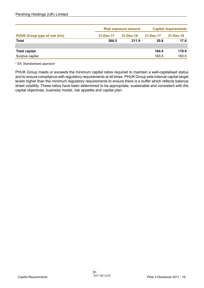|                                     | <b>Risk exposure amount</b> |                 | <b>Capital requirements</b> |                 |
|-------------------------------------|-----------------------------|-----------------|-----------------------------|-----------------|
| <b>PHUK Group type of risk (£m)</b> | 31-Dec-17                   | $31 - Dec - 16$ | 31-Dec-17                   | $31 - Dec - 16$ |
| <b>Total</b>                        | 260.5                       | 211.9           | 20.8                        | 17.0            |
|                                     |                             |                 |                             |                 |
| <b>Total capital</b>                |                             |                 | 184.4                       | 179.9           |
| Surplus capital                     |                             |                 | 163.5                       | 163.0           |

\* SA: Standardised approach

PHUK Group meets or exceeds the minimum capital ratios required to maintain a well-capitalised status and to ensure compliance with regulatory requirements at all times. PHUK Group sets internal capital target levels higher than the minimum regulatory requirements to ensure there is a buffer which reflects balance sheet volatility. These ratios have been determined to be appropriate, sustainable and consistent with the capital objectives, business model, risk appetite and capital plan.

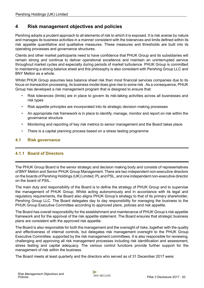### <span id="page-19-0"></span>**4 Risk management objectives and policies**

Pershing adopts a prudent approach to all elements of risk to which it is exposed. It is risk averse by nature and manages its business activities in a manner consistent with the tolerances and limits defined within its risk appetite quantitative and qualitative measures. These measures and thresholds are built into its operating processes and governance structures.

Clients and other market participants need to have confidence that PHUK Group and its subsidiaries will remain strong and continue to deliver operational excellence and maintain an uninterrupted service throughout market cycles and especially during periods of market turbulence. PHUK Group is committed to maintaining a strong balance sheet and this philosophy is also consistent with Pershing Group LLC and BNY Mellon as a whole.

Whilst PHUK Group assumes less balance sheet risk than most financial services companies due to its focus on transaction processing, its business model does give rise to some risk . As a consequence, PHUK Group has developed a risk management program that is designed to ensure that:

- Risk tolerances (limits) are in place to govern its risk-taking activities across all businesses and risk types
- Risk appetite principles are incorporated into its strategic decision making processes
- An appropriate risk framework is in place to identify, manage, monitor and report on risk within the governance structure
- Monitoring and reporting of key risk metrics to senior management and the Board takes place
- There is a capital planning process based on a stress testing programme

### **4.1 Risk governance**

### **4.1.1 Board of Directors**

The PHUK Group Board is the senior strategic and decision making body and consists of representatives of BNY Mellon and Senior PHUK Group Management. There are two independent non-executive directors on the boards of Pershing Holdings (UK) Limited, PL and PSL, and one independent non-executive director on the board of PSIL.

The main duty and responsibility of the Board is to define the strategy of PHUK Group and to supervise the management of PHUK Group. Whilst acting autonomously and in accordance with its legal and regulatory requirements, the Board also aligns PHUK Group's strategy to that of its primary shareholder, Pershing Group LLC. The Board delegates day to day responsibility for managing the business to the PHUK Group Executive Committee according to approved plans, policies and risk appetite.

The Board has overall responsibility for the establishment and maintenance of PHUK Group's risk appetite framework and for the approval of the risk appetite statement. The Board ensures that strategic business plans are consistent with the approved risk appetite.

The Board is also responsible for both the management and the oversight of risks, together with the quality and effectiveness of internal controls, but delegates risk management oversight to the PHUK Group Executive Committee, supported by the risk management committees. It is also responsible for reviewing, challenging and approving all risk management processes including risk identification and assessment, stress testing and capital adequacy. The various control functions provide further support for the management of risk within the business.

The Board meets at least quarterly and the directors who served as of 31 December 2017 were: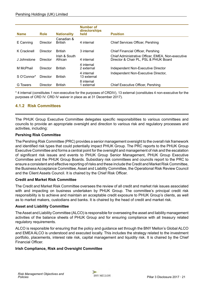<span id="page-20-0"></span>

| <b>Name</b> | <b>Role</b>     | <b>Nationality</b>           | Number of<br>directorships<br>held | <b>Position</b>                                                                            |
|-------------|-----------------|------------------------------|------------------------------------|--------------------------------------------------------------------------------------------|
|             |                 |                              |                                    |                                                                                            |
| E Canning   | <b>Director</b> | Canadian &<br><b>British</b> | 4 internal                         | Chief Services Officer, Pershing                                                           |
| K Cracknell | <b>Director</b> | British                      | 3 internal                         | Chief Financial Officer, Pershing                                                          |
| J Johnstone | Director        | Irish & South<br>African     | 4 internal                         | Chief Administrative Officer, EMEA, Non-executive<br>Director & Chair PL, PSL & PHUK Board |
| M McPhail   | Director        | <b>British</b>               | 4 internal<br>2 external           | Independent Non-Executive Director                                                         |
| S O'Connor* | Director        | <b>British</b>               | 4 internal<br>13 external          | Independent Non-Executive Director,                                                        |
| G Towers    | Director        | British                      | 8 internal<br>1 external           | Chief Executive Officer, Pershing                                                          |

\* 4 internal (constitutes 1 non-executive for the purposes of CRDIV), 13 external (constitutes 4 non-executive for the purposes of CRD IV. CRD IV waiver in place as at 31 December 2017).

### **4.1.2 Risk Committees**

The PHUK Group Executive Committee delegates specific responsibilities to various committees and councils to provide an appropriate oversight and direction to various risk and regulatory processes and activities, including:

#### **Pershing Risk Committee**

The Pershing Risk Committee (PRC) provides a senior management oversight to the overall risk framework and identified risk types that could potentially impact PHUK Group. The PRC reports to the PHUK Group Executive Committee and forms a central point for the oversight and management of risk and the escalation of significant risk issues and events to PHUK Group Senior Management, PHUK Group Executive Committee and the PHUK Group Boards. Subsidiary risk committees and councils report to the PRC to ensure a consistent and effective reporting of risks and these include the Credit and Market Risk Committee, the Business Acceptance Committee, Asset and Liability Committee, the Operational Risk Review Council and the Client Assets Council. It is chaired by the Chief Risk Officer.

#### **Credit and Market Risk Committee**

The Credit and Market Risk Committee oversees the review of all credit and market risk issues associated with and impacting on business undertaken by PHUK Group. The committee's principal credit risk responsibility is to achieve and maintain an acceptable credit exposure to PHUK Group's clients, as well as to market makers, custodians and banks. It is chaired by the head of credit and market risk.

#### **Asset and Liability Committee**

The Asset and Liability Committee (ALCO) is responsible for overseeing the asset and liability management activities of the balance sheets of PHUK Group and for ensuring compliance with all treasury related regulatory requirements.

ALCO is responsible for ensuring that the policy and guidance set through the BNY Mellon's Global ALCO and EMEA ALCO is understood and executed locally. This includes the strategy related to the investment portfolio, placements, interest rate risk, capital management and liquidity risk. It is chaired by the Chief Financial Officer.

#### **Irish Compliance, Risk and Oversight Committee**

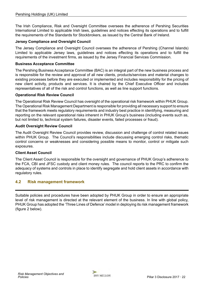<span id="page-21-0"></span>The Irish Compliance, Risk and Oversight Committee oversees the adherence of Pershing Securities International Limited to applicable Irish laws, guidelines and notices effecting its operations and to fulfill the requirements of the Standards for Stockbrokers, as issued by the Central Bank of Ireland.

#### **Jersey Compliance and Oversight Council**

The Jersey Compliance and Oversight Council oversees the adherence of Pershing (Channel Islands) Limited to applicable Jersey laws, guidelines and notices effecting its operations and to fulfill the requirements of the investment firms, as issued by the Jersey Financial Services Commission.

#### **Business Acceptance Committee**

The Pershing Business Acceptance Committee (BAC) is an integral part of the new business process and is responsible for the review and approval of all new clients, products/services and material changes to existing processes before they are executed or implemented and includes responsibility for the pricing of new client activity, products and services. It is chaired by the Chief Executive Officer and includes representatives of all of the risk and control functions, as well as line support functions.

### **Operational Risk Review Council**

The Operational Risk Review Council has oversight of the operational risk framework within PHUK Group. The Operational Risk Management Department is responsible for providing all necessary support to ensure that the framework meets regulatory requirements and industry best practice in identifying, measuring and reporting on the relevant operational risks inherent in PHUK Group's business (including events such as, but not limited to, technical system failures, disaster events, failed processes or fraud).

#### **Audit Oversight Review Council**

The Audit Oversight Review Council provides review, discussion and challenge of control related issues within PHUK Group. The Council's responsibilities include discussing emerging control risks, thematic control concerns or weaknesses and considering possible means to monitor, control or mitigate such exposures.

#### **Client Asset Council**

The Client Asset Council is responsible for the oversight and governance of PHUK Group's adherence to the FCA, CBI and JFSC custody and client money rules. The council reports to the PRC to confirm the adequacy of systems and controls in place to identify segregate and hold client assets in accordance with regulatory rules.

### **4.2 Risk management framework**

Suitable policies and procedures have been adopted by PHUK Group in order to ensure an appropriate level of risk management is directed at the relevant element of the business. In line with global policy, PHUK Group has adopted the 'Three Lines of Defence' model in deploying its risk management framework (figure 2 below).

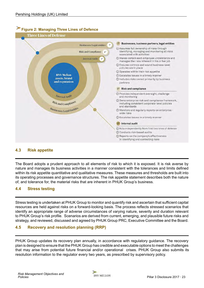<span id="page-22-0"></span>

### **4.3 Risk appetite**

The Board adopts a prudent approach to all elements of risk to which it is exposed. It is risk averse by nature and manages its business activities in a manner consistent with the tolerances and limits defined within its risk appetite quantitative and qualitative measures. These measures and thresholds are built into its operating processes and governance structures. The risk appetite statement describes both the nature of, and tolerance for, the material risks that are inherent in PHUK Group's business.

### **4.4 Stress testing**

Stress testing is undertaken at PHUK Group to monitor and quantify risk and ascertain that sufficient capital resources are held against risks on a forward-looking basis. The process reflects stressed scenarios that identify an appropriate range of adverse circumstances of varying nature, severity and duration relevant to PHUK Group's risk profile. Scenarios are derived from current, emerging, and plausible future risks and strategy, and reviewed, discussed and agreed by PHUK Group PRC, Executive Committee and the Board.

### **4.5 Recovery and resolution planning (RRP)**

PHUK Group updates its recovery plan annually, in accordance with regulatory guidance. The recovery plan is designed to ensure that the PHUK Group has credible and executable options to meet the challenges that may arise from potential future financial and/or operational crises. PHUK Group also submits its resolution information to the regulator every two years, as prescribed by supervisory policy.

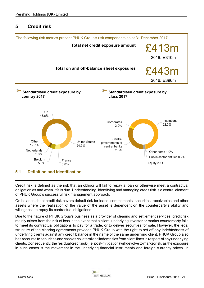### <span id="page-23-0"></span>**5 Credit risk**



Credit risk is defined as the risk that an obligor will fail to repay a loan or otherwise meet a contractual obligation as and when it falls due. Understanding, identifying and managing credit risk is a central element of PHUK Group's successful risk management approach.

On balance sheet credit risk covers default risk for loans, commitments, securities, receivables and other assets where the realisation of the value of the asset is dependent on the counterparty's ability and willingness to repay its contractual obligations.

Due to the nature of PHUK Group's business as a provider of clearing and settlement services, credit risk mainly arises from the risk of loss in the event that a client, underlying investor or market counterparty fails to meet its contractual obligations to pay for a trade, or to deliver securities for sale. However, the legal structure of the clearing agreements provides PHUK Group with the right to set-off any indebtedness of underlying clients against any credit balance in the name of the same underlying client. PHUK Group also has recourse to securities and cash as collateral and indemnities from client firms in respect of any underlying clients. Consequently, the residual credit risk (i.e. post-mitigation) will devolve to market risk, as the exposure in such cases is the movement in the underlying financial instruments and foreign currency prices. In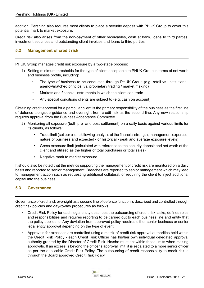<span id="page-24-0"></span>addition, Pershing also requires most clients to place a security deposit with PHUK Group to cover this potential mark to market exposure.

Credit risk also arises from the non-payment of other receivables, cash at bank, loans to third parties, investment securities and outstanding client invoices and loans to third parties.

### **5.2 Management of credit risk**

PHUK Group manages credit risk exposure by a two-stage process:

- 1) Setting minimum thresholds for the type of client acceptable to PHUK Group in terms of net worth and business profile, including:
	- The type of business to be conducted through PHUK Group (e.g. retail vs. institutional: agency/matched principal vs. proprietary trading / market making)
	- Markets and financial instruments in which the client can trade
	- Any special conditions clients are subject to (e.g. cash on account)

Obtaining credit approval for a particular client is the primary responsibility of the business as the first line of defence alongside guidance and oversight from credit risk as the second line. Any new relationship requires approval from the Business Acceptance Committee.

- 2) Monitoring all exposure (both pre- and post-settlement) on a daily basis against various limits for its clients, as follows:
	- Trade limit (set per client following analysis of the financial strength, management expertise, nature of business and expected - or historical - peak and average exposure levels)
	- Gross exposure limit (calculated with reference to the security deposit and net worth of the client and utilised as the higher of total purchases or total sales)
	- Negative mark to market exposure

It should also be noted that the metrics supporting the management of credit risk are monitored on a daily basis and reported to senior management. Breaches are reported to senior management which may lead to management action such as requesting additional collateral, or requiring the client to inject additional capital into the business.

### **5.3 Governance**

Governance of credit risk oversight as a second line of defence function is described and controlled through credit risk policies and day-to-day procedures as follows:

- Credit Risk Policy for each legal entity describes the outsourcing of credit risk tasks, defines roles and responsibilities and requires reporting to be carried out to each business line and entity that the policy applies to. Any deviation from approved policy requires either senior business or senior legal entity approval depending on the type of event
- Approvals for excesses are controlled using a matrix of credit risk approval authorities held within the Credit Risk Policy - each Credit Risk Officer has his/her own individual delegated approval authority granted by the Director of Credit Risk. He/she must act within those limits when making approvals. If an excess is beyond the officer's approval limit, it is escalated to a more senior officer as per the applicable Credit Risk Policy. The outsourcing of credit responsibility to credit risk is through the Board approved Credit Risk Policy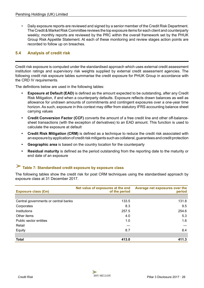<span id="page-25-0"></span>• Daily exposure reports are reviewed and signed by a senior member of the Credit Risk Department. The Credit & Market Risk Committee reviews the top exposure items for each client and counterparty weekly; monthly reports are reviewed by the PRC within the overall framework set by the PHUK Group Risk Appetite Statement. At each of these monitoring and review stages action points are recorded to follow up on breaches.

### **5.4 Analysis of credit risk**

Credit risk exposure is computed under the standardised approach which uses external credit assessment institution ratings and supervisory risk weights supplied by external credit assessment agencies. The following credit risk exposure tables summarise the credit exposure for PHUK Group in accordance with the CRD IV requirements.

The definitions below are used in the following tables:

- **Exposure at Default (EAD)** is defined as the amount expected to be outstanding, after any Credit Risk Mitigation, if and when a counterparty defaults. Exposure reflects drawn balances as well as allowance for undrawn amounts of commitments and contingent exposures over a one-year time horizon. As such, exposure in this context may differ from statutory IFRS accounting balance sheet carrying values
- **Credit Conversion Factor (CCF)** converts the amount of a free credit line and other off-balancesheet transactions (with the exception of derivatives) to an EAD amount. This function is used to calculate the exposure at default
- **Credit Risk Mitigation (CRM)** is defined as a technique to reduce the credit risk associated with an exposure by application of credit risk mitigants such as collateral, guarantees and credit protection
- **Geographic area** is based on the country location for the counterparty
- **Residual maturity** is defined as the period outstanding from the reporting date to the maturity or end date of an exposure

## **Table 7: Standardised credit exposure by exposure class**

The following tables show the credit risk for post CRM techniques using the standardised approach by exposure class at 31 December 2017.

| <b>Exposure class (£m)</b>           | Net value of exposures at the end<br>of the period | Average net exposures over the<br>period |
|--------------------------------------|----------------------------------------------------|------------------------------------------|
|                                      |                                                    |                                          |
| Central governments or central banks | 133.5                                              | 131.8                                    |
| Corporates                           | 8.3                                                | 9.5                                      |
| Institutions                         | 257.5                                              | 254.6                                    |
| Other items                          | 4.0                                                | 5.3                                      |
| Public sector entities               | 1.0                                                | 1.6                                      |
| Retail                               |                                                    |                                          |
| Equity                               | 8.7                                                | 8.4                                      |
|                                      |                                                    |                                          |
| <b>Total</b>                         | 413.0                                              | 411.3                                    |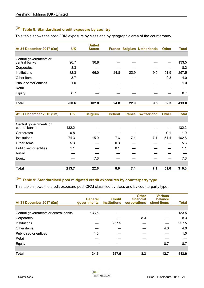# <span id="page-26-0"></span>**Table 8: Standardised credit exposure by country**

This table shows the post CRM exposure by class and by geographic area of the counterparty.

| At 31 December 2017 (£m)                | <b>UK</b> | <b>United</b><br><b>States</b> |      |      | <b>France Belgium Netherlands</b> | <b>Other</b> | <b>Total</b> |
|-----------------------------------------|-----------|--------------------------------|------|------|-----------------------------------|--------------|--------------|
|                                         |           |                                |      |      |                                   |              |              |
| Central governments or<br>central banks | 96.7      | 36.8                           |      |      |                                   |              | 133.5        |
| Corporates                              | 8.3       |                                |      |      |                                   |              | 8.3          |
| Institutions                            | 82.3      | 66.0                           | 24.8 | 22.9 | 9.5                               | 51.9         | 257.5        |
| Other items                             | 3.7       |                                |      |      |                                   | 0.3          | 4.0          |
| Public sector entities                  | 1.0       |                                |      |      |                                   |              | 1.0          |
| Retail                                  |           |                                |      |      |                                   |              |              |
| Equity                                  | 8.7       |                                |      |      |                                   |              | 8.7          |
|                                         |           |                                |      |      |                                   |              |              |
| <b>Total</b>                            | 200.6     | 102.8                          | 24.8 | 22.9 | 9.5                               | 52.3         | 413.0        |

| At 31 December 2016 (£m)                | <b>UK</b> | <b>Belgium</b> | <b>Ireland</b> |     | <b>France Switzerland</b> | <b>Other</b> | <b>Total</b> |
|-----------------------------------------|-----------|----------------|----------------|-----|---------------------------|--------------|--------------|
|                                         |           |                |                |     |                           |              |              |
| Central governments or<br>central banks | 132.2     |                |                |     |                           |              | 132.2        |
| Corporates                              | 0.8       |                |                |     |                           | 0.1          | 1.0          |
| Institutions                            | 74.3      | 15.0           | 7.6            | 7.4 | 7.1                       | 51.4         | 162.8        |
| Other items                             | 5.3       |                | 0.3            |     |                           |              | 5.6          |
| Public sector entities                  | 1.1       |                | 0.1            |     |                           |              | 1.1          |
| Retail                                  |           |                |                |     |                           |              |              |
| Equity                                  |           | 7.6            |                |     |                           |              | 7.6          |
|                                         |           |                |                |     |                           |              |              |
| <b>Total</b>                            | 213.7     | 22.6           | 8.0            | 7.4 | 7.1                       | 51.6         | 310.3        |

# **Table 9: Standardised post mitigated credit exposures by counterparty type**

This table shows the credit exposure post CRM classified by class and by counterparty type.

| At 31 December 2017 (£m)             | <b>General</b><br><b>governments</b> | <b>Credit</b><br><b>institutions</b> | <b>Other</b><br>financial<br>corporations | <b>Various</b><br>balance<br>sheet items | <b>Total</b> |
|--------------------------------------|--------------------------------------|--------------------------------------|-------------------------------------------|------------------------------------------|--------------|
|                                      |                                      |                                      |                                           |                                          |              |
| Central governments or central banks | 133.5                                |                                      |                                           |                                          | 133.5        |
| Corporates                           |                                      |                                      | 8.3                                       |                                          | 8.3          |
| Institutions                         |                                      | 257.5                                |                                           |                                          | 257.5        |
| Other items                          |                                      |                                      |                                           | 4.0                                      | 4.0          |
| Public sector entities               | 1.0                                  |                                      |                                           |                                          | 1.0          |
| Retail                               |                                      |                                      |                                           |                                          |              |
| Equity                               |                                      |                                      |                                           | 8.7                                      | 8.7          |
|                                      |                                      |                                      |                                           |                                          |              |
| <b>Total</b>                         | 134.5                                | 257.5                                | 8.3                                       | 12.7                                     | 413.0        |

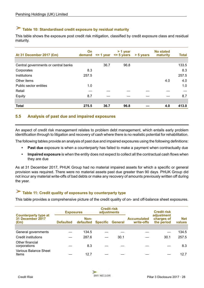# <span id="page-27-0"></span>**Table 10: Standardised credit exposure by residual maturity**

This table shows the exposure post credit risk mitigation, classified by credit exposure class and residual maturity.

| At 31 December 2017 (£m)             | On<br>demand |      | $> 1$ year<br>$\le$ 1 year $\le$ 5 years | > 5 years | <b>No stated</b><br>maturity | <b>Total</b> |
|--------------------------------------|--------------|------|------------------------------------------|-----------|------------------------------|--------------|
|                                      |              |      |                                          |           |                              |              |
| Central governments or central banks |              | 36.7 | 96.8                                     |           |                              | 133.5        |
| Corporates                           | 8.3          |      |                                          |           |                              | 8.3          |
| Institutions                         | 257.5        |      |                                          |           |                              | 257.5        |
| Other items                          |              |      |                                          |           | 4.0                          | 4.0          |
| Public sector entities               | 1.0          |      |                                          |           |                              | 1.0          |
| Retail                               |              |      |                                          |           |                              |              |
| Equity                               | 8.7          |      |                                          |           |                              | 8.7          |
|                                      |              |      |                                          |           |                              |              |
| <b>Total</b>                         | 275.5        | 36.7 | 96.8                                     |           | 4.0                          | 413.0        |

### **5.5 Analysis of past due and impaired exposures**

An aspect of credit risk management relates to problem debt management, which entails early problem identification through to litigation and recovery of cash where there is no realistic potential for rehabilitation.

The following tables provide an analysis of past due and impaired exposures using the following definitions:

- **Past due** exposure is when a counterparty has failed to make a payment when contractually due
- **Impaired exposure** is when the entity does not expect to collect all the contractual cash flows when they are due

As at 31 December 2017, PHUK Group had no material impaired assets for which a specific or general provision was required. There were no material assets past due greater than 90 days. PHUK Group did not incur any material write-offs of bad debts or make any recovery of amounts previously written off during the year.

### **Table 11: Credit quality of exposures by counterparty type**

This table provides a comprehensive picture of the credit quality of on- and off-balance sheet exposures.

|                                                                  |                  | <b>Credit risk</b><br>adjustments<br><b>Exposures</b> |  |                         |                                  | <b>Credit risk</b>                     |                      |  |
|------------------------------------------------------------------|------------------|-------------------------------------------------------|--|-------------------------|----------------------------------|----------------------------------------|----------------------|--|
| <b>Counterparty type at</b><br>31 December 2017<br>$(\text{Em})$ | <b>Defaulted</b> | Non-<br>defaulted                                     |  | <b>Specific General</b> | <b>Accumulated</b><br>write-offs | adjustment<br>charges of<br>the period | <b>Net</b><br>values |  |
|                                                                  |                  |                                                       |  |                         |                                  |                                        |                      |  |
| General governments                                              |                  | 134.5                                                 |  |                         |                                  |                                        | 134.5                |  |
| Credit institutions                                              |                  | 287.6                                                 |  | 30.1                    |                                  | 30.1                                   | 257.5                |  |
| Other financial<br>corporations                                  |                  | 8.3                                                   |  |                         |                                  |                                        | 8.3                  |  |
| <b>Various Balance Sheet</b><br>Items                            |                  | 12.7                                                  |  |                         |                                  |                                        | 12.7                 |  |



J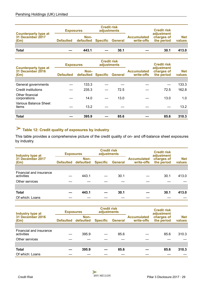<span id="page-28-0"></span>

|                                                                  | <b>Exposures</b> |                                    | <b>Credit risk</b><br>adjustments |      | <b>Credit risk</b>               |                                        |                      |
|------------------------------------------------------------------|------------------|------------------------------------|-----------------------------------|------|----------------------------------|----------------------------------------|----------------------|
| <b>Counterparty type at</b><br>31 December 2017<br>$(\text{Em})$ | <b>Defaulted</b> | Non-<br>defaulted Specific General |                                   |      | <b>Accumulated</b><br>write-offs | adjustment<br>charges of<br>the period | <b>Net</b><br>values |
|                                                                  |                  |                                    |                                   |      |                                  |                                        |                      |
| <b>Total</b>                                                     |                  | 443.1                              |                                   | 30.1 |                                  | 30.1                                   | 413.0                |

|                                                                  | <b>Exposures</b> |                   | <b>Credit risk</b><br>adjustments |                         |                                  | <b>Credit risk</b>                     |                      |
|------------------------------------------------------------------|------------------|-------------------|-----------------------------------|-------------------------|----------------------------------|----------------------------------------|----------------------|
| <b>Counterparty type at</b><br>31 December 2016<br>$(\text{Em})$ | <b>Defaulted</b> | Non-<br>defaulted |                                   | <b>Specific General</b> | <b>Accumulated</b><br>write-offs | adjustment<br>charges of<br>the period | <b>Net</b><br>values |
|                                                                  |                  |                   |                                   |                         |                                  |                                        |                      |
| General governments                                              |                  | 133.3             |                                   |                         |                                  |                                        | 133.3                |
| Credit institutions                                              |                  | 235.3             |                                   | 72.5                    |                                  | 72.5                                   | 162.8                |
| Other financial<br>corporations                                  |                  | 14.0              |                                   | 13.0                    |                                  | 13.0                                   | 1.0                  |
| Various Balance Sheet<br>Items                                   |                  | 13.2              |                                   |                         |                                  |                                        | 13.2                 |
|                                                                  |                  |                   |                                   |                         |                                  |                                        |                      |
| <b>Total</b>                                                     |                  | 395.9             |                                   | 85.6                    |                                  | 85.6                                   | 310.3                |

# **Table 12: Credit quality of exposures by industry**

This table provides a comprehensive picture of the credit quality of on- and off-balance sheet exposures by industry.

| Industry type at                      | <b>Exposures</b> |                   | <b>Credit risk</b><br>adjustments |                |                                                              | <b>Credit risk</b><br>adjustment |                      |
|---------------------------------------|------------------|-------------------|-----------------------------------|----------------|--------------------------------------------------------------|----------------------------------|----------------------|
| 31 December 2017<br>$(\text{Em})$     | <b>Defaulted</b> | Non-<br>defaulted | <b>Specific</b>                   | <b>General</b> | charges of<br><b>Accumulated</b><br>the period<br>write-offs |                                  | <b>Net</b><br>values |
|                                       |                  |                   |                                   |                |                                                              |                                  |                      |
| Financial and insurance<br>activities |                  | 443.1             |                                   | 30.1           |                                                              | 30.1                             | 413.0                |
| Other services                        |                  |                   |                                   |                |                                                              |                                  |                      |
|                                       |                  |                   |                                   |                |                                                              |                                  |                      |
| <b>Total</b>                          |                  | 443.1             |                                   | 30.1           |                                                              | 30.1                             | 413.0                |
| Of which: Loans                       |                  |                   |                                   |                |                                                              |                                  |                      |

| Industry type at                      | <b>Exposures</b> |                   | <b>Credit risk</b><br>adjustments |                |                                  | <b>Credit risk</b><br>adjustment |                      |
|---------------------------------------|------------------|-------------------|-----------------------------------|----------------|----------------------------------|----------------------------------|----------------------|
| 31 December 2016<br>$(\text{Em})$     | <b>Defaulted</b> | Non-<br>defaulted | <b>Specific</b>                   | <b>General</b> | <b>Accumulated</b><br>write-offs | charges of<br>the period         | <b>Net</b><br>values |
|                                       |                  |                   |                                   |                |                                  |                                  |                      |
| Financial and insurance<br>activities |                  | 395.9             |                                   | 85.6           |                                  | 85.6                             | 310.3                |
| Other services                        |                  |                   |                                   |                |                                  |                                  |                      |
|                                       |                  |                   |                                   |                |                                  |                                  |                      |
| <b>Total</b>                          |                  | 395.9             |                                   | 85.6           |                                  | 85.6                             | 310.3                |
| Of which: Loans                       |                  |                   |                                   |                |                                  |                                  |                      |

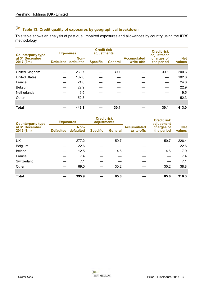# <span id="page-29-0"></span>**Table 13: Credit quality of exposures by geographical breakdown**

This table shows an analysis of past due, impaired exposures and allowances by country using the IFRS methodology.

|                               | <b>Exposures</b><br><b>Counterparty type</b><br>Non-<br>Defaulted defaulted |       | <b>Credit risk</b><br>adjustments |      |                                  | <b>Credit risk</b><br>adjustment |                      |
|-------------------------------|-----------------------------------------------------------------------------|-------|-----------------------------------|------|----------------------------------|----------------------------------|----------------------|
| at 31 December<br>$2017$ (£m) |                                                                             |       | <b>Specific</b><br><b>General</b> |      | <b>Accumulated</b><br>write-offs | charges of<br>the period         | <b>Net</b><br>values |
|                               |                                                                             |       |                                   |      |                                  |                                  |                      |
| United Kingdom                |                                                                             | 230.7 |                                   | 30.1 |                                  | 30.1                             | 200.6                |
| <b>United States</b>          |                                                                             | 102.8 |                                   |      |                                  |                                  | 102.8                |
| France                        |                                                                             | 24.8  |                                   |      |                                  |                                  | 24.8                 |
| Belgium                       |                                                                             | 22.9  |                                   |      |                                  |                                  | 22.9                 |
| <b>Netherlands</b>            |                                                                             | 9.5   |                                   |      |                                  |                                  | 9.5                  |
| Other                         |                                                                             | 52.3  |                                   |      |                                  |                                  | 52.3                 |
|                               |                                                                             |       |                                   |      |                                  |                                  |                      |
| <b>Total</b>                  |                                                                             | 443.1 |                                   | 30.1 |                                  | 30.1                             | 413.0                |

| <b>Counterparty type</b>      | <b>Exposures</b> |                   | <b>Credit risk</b><br>adjustments |                |                                  | <b>Credit risk</b><br>adjustment |                      |
|-------------------------------|------------------|-------------------|-----------------------------------|----------------|----------------------------------|----------------------------------|----------------------|
| at 31 December<br>$2016$ (£m) | <b>Defaulted</b> | Non-<br>defaulted | <b>Specific</b>                   | <b>General</b> | <b>Accumulated</b><br>write-offs | charges of<br>the period         | <b>Net</b><br>values |
|                               |                  |                   |                                   |                |                                  |                                  |                      |
| UK                            |                  | 277.2             |                                   | 50.7           |                                  | 50.7                             | 226.4                |
| Belgium                       |                  | 22.6              |                                   |                |                                  |                                  | 22.6                 |
| Ireland                       |                  | 12.5              |                                   | 4.6            |                                  | 4.6                              | 7.9                  |
| France                        |                  | 7.4               |                                   |                |                                  |                                  | 7.4                  |
| Switzerland                   |                  | 7.1               |                                   |                |                                  |                                  | 7.1                  |
| Other                         |                  | 69.0              |                                   | 30.2           |                                  | 30.2                             | 38.8                 |
|                               |                  |                   |                                   |                |                                  |                                  |                      |
| <b>Total</b>                  |                  | 395.9             |                                   | 85.6           |                                  | 85.6                             | 310.3                |

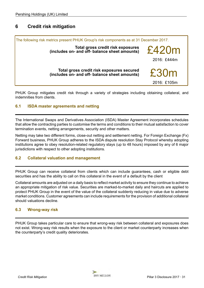### <span id="page-30-0"></span>**6 Credit risk mitigation**



PHUK Group mitigates credit risk through a variety of strategies including obtaining collateral, and indemnities from clients.

### **6.1 ISDA master agreements and netting**

The International Swaps and Derivatives Association (ISDA) Master Agreement incorporates schedules that allow the contracting parties to customise the terms and conditions to their mutual satisfaction to cover termination events, netting arrangements, security and other matters.

Netting may take two different forms, close-out netting and settlement netting. For Foreign Exchange (Fx) Forward business, PHUK Group adheres to the ISDA dispute resolution Stay Protocol whereby adopting institutions agree to obey resolution-related regulatory stays (up to 48 hours) imposed by any of 6 major jurisdictions with respect to other adopting institutions.

### **6.2 Collateral valuation and management**

PHUK Group can receive collateral from clients which can include guarantees, cash or eligible debt securities and has the ability to call on this collateral in the event of a default by the client

Collateral amounts are adjusted on a daily basis to reflect market activity to ensure they continue to achieve an appropriate mitigation of risk value. Securities are marked-to-market daily and haircuts are applied to protect PHUK Group in the event of the value of the collateral suddenly reducing in value due to adverse market conditions. Customer agreements can include requirements for the provision of additional collateral should valuations decline.

### **6.3 Wrong-way risk**

PHUK Group takes particular care to ensure that wrong-way risk between collateral and exposures does not exist. Wrong-way risk results when the exposure to the client or market counterparty increases when the counterparty's credit quality deteriorates.

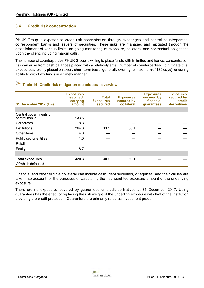### <span id="page-31-0"></span>**6.4 Credit risk concentration**

PHUK Group is exposed to credit risk concentration through exchanges and central counterparties, correspondent banks and issuers of securities. These risks are managed and mitigated through the establishment of various limits, on-going monitoring of exposure, collateral and contractual obligations upon the client, including margin calls.

The number of counterparties PHUK Group is willing to place funds with is limited and hence, concentration risk can arise from cash balances placed with a relatively small number of counterparties. To mitigate this, exposures are only placed on a very short-term basis, generally overnight (maximum of 180 days), ensuring ability to withdraw funds in a timely manner.

# **Table 14: Credit risk mitigation techniques - overview**

| 31 December 2017 (€m)                   | <b>Exposures</b><br>unsecured:<br>carrying<br>amount | <b>Total</b><br><b>Exposures</b><br>secured | <b>Exposures</b><br>secured by<br>collateral | <b>Exposures</b><br>secured by<br>financial<br>guarantees | <b>Exposures</b><br>secured by<br>credit<br>derivatives |
|-----------------------------------------|------------------------------------------------------|---------------------------------------------|----------------------------------------------|-----------------------------------------------------------|---------------------------------------------------------|
|                                         |                                                      |                                             |                                              |                                                           |                                                         |
| Central governments or<br>central banks | 133.5                                                |                                             |                                              |                                                           |                                                         |
| Corporates                              | 8.3                                                  |                                             |                                              |                                                           |                                                         |
| Institutions                            | 264.8                                                | 30.1                                        | 30.1                                         |                                                           |                                                         |
| Other items                             | 4.0                                                  |                                             |                                              |                                                           |                                                         |
| Public sector entities                  | 1.0                                                  |                                             |                                              |                                                           |                                                         |
| Retail                                  |                                                      |                                             |                                              |                                                           |                                                         |
| Equity                                  | 8.7                                                  |                                             |                                              |                                                           |                                                         |
|                                         |                                                      |                                             |                                              |                                                           |                                                         |
| <b>Total exposures</b>                  | 420.3                                                | 30.1                                        | 30.1                                         |                                                           |                                                         |
| Of which defaulted                      |                                                      |                                             |                                              |                                                           |                                                         |

Financial and other eligible collateral can include cash, debt securities, or equities, and their values are taken into account for the purposes of calculating the risk weighted exposure amount of the underlying exposure.

There are no exposures covered by guarantees or credit derivatives at 31 December 2017. Using guarantees has the effect of replacing the risk weight of the underling exposure with that of the institution providing the credit protection. Guarantors are primarily rated as investment grade.

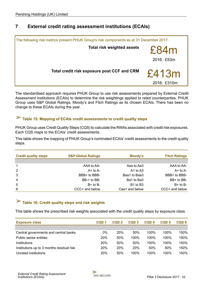### <span id="page-32-0"></span>**7 External credit rating assessment institutions (ECAIs)**



The standardised approach requires PHUK Group to use risk assessments prepared by External Credit Assessment Institutions (ECAIs) to determine the risk weightings applied to rated counterparties. PHUK Group uses S&P Global Ratings, Moody's and Fitch Ratings as its chosen ECAIs. There has been no change to these ECAIs during the year.

# **Table 15: Mapping of ECAIs credit assessments to credit quality steps**

PHUK Group uses Credit Quality Steps (CQS) to calculate the RWAs associated with credit risk exposures. Each CQS maps to the ECAIs' credit assessments.

This table shows the mapping of PHUK Group's nominated ECAIs' credit assessments to the credit quality steps.

| <b>Credit quality steps</b> | <b>S&amp;P Global Ratings</b> | Moody's                          | <b>Fitch Ratings</b> |
|-----------------------------|-------------------------------|----------------------------------|----------------------|
|                             |                               |                                  |                      |
| $\overline{1}$              | AAA to AA-                    | Aaa to Aa3                       | AAA to AA-           |
| 2                           | $A+$ to $A-$                  | $A1$ to $A3$                     | $A+$ to $A-$         |
| 3                           | BBB+ to BBB-                  | Baa1 to Baa3                     | BBB+ to BBB-         |
| 4                           | BB-+ to BB-                   | Ba1 to Ba3                       | BB+ to BB-           |
| 5                           | $B+$ to $B-$                  | B <sub>1</sub> to B <sub>3</sub> | $B+$ to $B-$         |
| 6                           | CCC+ and below                | Caa1 and below                   | CCC+ and below       |

## **Table 16: Credit quality steps and risk weights**

This table shows the prescribed risk weights associated with the credit quality steps by exposure class.

| <b>Exposure class</b>                     | CQS <sub>1</sub> | CQS <sub>2</sub> | CQS <sub>3</sub> | CQS <sub>4</sub> | CQS <sub>5</sub> | CQS <sub>6</sub> |
|-------------------------------------------|------------------|------------------|------------------|------------------|------------------|------------------|
|                                           |                  |                  |                  |                  |                  |                  |
| Central governments and central banks     | 0%               | 20%              | 50%              | $100\%$          | $100\%$          | 150%             |
| Public sector entities                    | 20%              | 50%              | 100%             | 100%             | 100%             | 150%             |
| Institutions                              | 20%              | 50%              | 50%              | 100%             | 100%             | 150%             |
| Institutions up to 3 months residual risk | 20%              | 20%              | 20%              | 50%              | 50%              | 150%             |
| Unrated institutions                      | 20%              | 50%              | 100%             | 100%             | 100%             | 150%             |

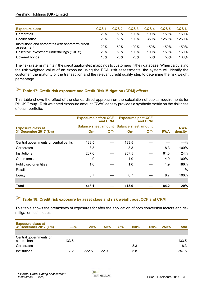<span id="page-33-0"></span>

| <b>Exposure class</b>                                            | CQS <sub>1</sub> | CQS <sub>2</sub> | CQS <sub>3</sub> | CQS <sub>4</sub> | CQS <sub>5</sub> | CQS <sub>6</sub> |
|------------------------------------------------------------------|------------------|------------------|------------------|------------------|------------------|------------------|
| Corporates                                                       | 20%              | 50%              | 100%             | $100\%$          | 150%             | 150%             |
| Securitisation                                                   | 20%              | 50%              | 100%             | 350%             | 1250%            | 1250%            |
| Institutions and corporates with short-term credit<br>assessment | 20%              | 50%              | 100%             | 150%             | 150%             | 150%             |
| Collective investment undertakings ('CIUs')                      | 20%              | 50%              | 100%             | 100%             | 150%             | 150%             |
| Covered bonds                                                    | 10%              | 20%              | 20%              | 50%              | 50%              | 100%             |

The risk systems maintain the credit quality step mappings to customers in their database. When calculating the risk weighted value of an exposure using the ECAI risk assessments, the system will identify the customer, the maturity of the transaction and the relevant credit quality step to determine the risk weight percentage.

# **Table 17: Credit risk exposure and Credit Risk Mitigation (CRM) effects**

This table shows the effect of the standardised approach on the calculation of capital requirements for PHUK Group. Risk weighted exposure amount (RWA) density provides a synthetic metric on the riskiness of each portfolio.

|                                      | <b>Exposures before CCF</b>                      | and CRM |       | <b>Exposures post-CCF</b><br>and CRM |            |            |
|--------------------------------------|--------------------------------------------------|---------|-------|--------------------------------------|------------|------------|
| <b>Exposure class at</b>             | <b>Balance sheet amount Balance sheet amount</b> |         |       |                                      |            | <b>RWA</b> |
| 31 December 2017 (£m)                | $On-$                                            | Off-    | $On-$ | Off-                                 | <b>RWA</b> | density    |
|                                      |                                                  |         |       |                                      |            |            |
| Central governments or central banks | 133.5                                            |         | 133.5 |                                      |            | $-\%$      |
| Corporates                           | 8.3                                              |         | 8.3   |                                      | 8.3        | 100%       |
| Institutions                         | 287.6                                            |         | 257.5 |                                      | 61.3       | 24%        |
| Other items                          | 4.0                                              |         | 4.0   |                                      | 4.0        | 100%       |
| Public sector entities               | 1.0                                              |         | 1.0   |                                      | 1.9        | 186%       |
| Retail                               |                                                  |         |       |                                      |            | $-\%$      |
| Equity                               | 8.7                                              |         | 8.7   |                                      | 8.7        | 100%       |
|                                      |                                                  |         |       |                                      |            |            |
| <b>Total</b>                         | 443.1                                            |         | 413.0 |                                      | 84.2       | 20%        |

# **Table 18: Credit risk exposure by asset class and risk weight post CCF and CRM**

This table shows the breakdown of exposures for after the application of both conversion factors and risk mitigation techniques.

| <b>Exposure class at</b><br>31 December 2017 (£m) | $-\%$ | 20%   | 50%  | 75% | 100% | <b>150%</b> | <b>250%</b> | Total |
|---------------------------------------------------|-------|-------|------|-----|------|-------------|-------------|-------|
|                                                   |       |       |      |     |      |             |             |       |
| Central governments or<br>central banks           | 133.5 |       |      |     |      |             |             | 133.5 |
| Corporates                                        |       |       |      |     | 8.3  |             |             | 8.3   |
| Institutions                                      | 7.2   | 222.5 | 22.0 |     | 5.8  |             |             | 257.5 |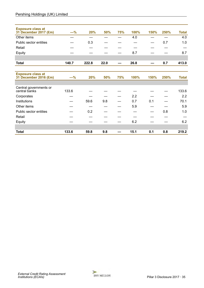| <b>Exposure class at</b><br>31 December 2017 (£m) | $-\%$ | 20%   | 50%  | 75% | 100% | 150% | 250% | <b>Total</b> |
|---------------------------------------------------|-------|-------|------|-----|------|------|------|--------------|
| Other items                                       |       |       |      |     | 4.0  |      |      | 4.0          |
| Public sector entities                            |       | 0.3   |      |     |      |      | 0.7  | 1.0          |
| Retail                                            |       |       |      |     |      |      |      |              |
| Equity                                            |       |       |      |     | 8.7  |      |      | 8.7          |
|                                                   |       |       |      |     |      |      |      |              |
| <b>Total</b>                                      | 140.7 | 222.8 | 22.0 |     | 26.8 |      | 0.7  | 413.0        |
|                                                   |       |       |      |     |      |      |      |              |
| <b>Exposure class at</b><br>31 December 2016 (£m) | $-%$  | 20%   | 50%  | 75% | 100% | 150% | 250% | <b>Total</b> |
|                                                   |       |       |      |     |      |      |      |              |
| Central governments or<br>central banks           | 133.6 |       |      |     |      |      |      | 133.6        |
| Corporates                                        |       |       |      |     | 2.2  |      |      | 2.2          |
| Institutions                                      |       | 59.6  | 9.8  |     | 0.7  | 0.1  |      | 70.1         |
| Other items                                       |       |       |      |     | 5.9  |      |      | 5.9          |
| Public sector entities                            |       | 0.2   |      |     |      |      | 0.8  | 1.0          |
| Retail                                            |       |       |      |     |      |      |      |              |
| Equity                                            |       |       |      |     | 6.2  |      |      | 6.2          |
|                                                   |       |       |      |     |      |      |      |              |
| <b>Total</b>                                      | 133.6 | 59.8  | 9.8  |     | 15.1 | 0.1  | 0.8  | 219.2        |

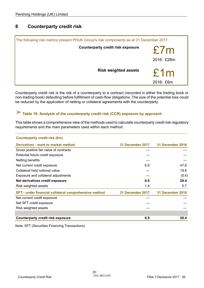### <span id="page-35-0"></span>**8 Counterparty credit risk**

| The following risk metrics present PHUK Group's risk components as at 31 December 2017. |                   |
|-----------------------------------------------------------------------------------------|-------------------|
| <b>Counterparty credit risk exposure</b>                                                | E7m<br>2016: £28m |
| <b>Risk weighted assets</b>                                                             | £1m<br>2016: £6m  |

Counterparty credit risk is the risk of a counterparty to a contract (recorded in either the trading book or non-trading book) defaulting before fulfillment of cash-flow obligations. The size of the potential loss could be reduced by the application of netting or collateral agreements with the counterparty.

# **Table 19: Analysis of the counterparty credit risk (CCR) exposure by approach**

This table shows a comprehensive view of the methods used to calculate counterparty credit risk regulatory requirements and the main parameters used within each method.

| <b>Counterparty credit risk (£m)</b>                  |                         |                         |
|-------------------------------------------------------|-------------------------|-------------------------|
| Derivatives - mark to market method                   | <b>31 December 2017</b> | 31 December 2016        |
| Gross positive fair value of contracts                |                         |                         |
| Potential future credit exposure                      |                         |                         |
| Netting benefits                                      |                         |                         |
| Net current credit exposure                           | 6.9                     | 47.8                    |
| Collateral held notional value                        |                         | 19.8                    |
| Exposure and collateral adjustments                   |                         | (0.4)                   |
| Net derivatives credit exposure                       | 6.9                     | 28.4                    |
| Risk weighted assets                                  | 1.4                     | 5.7                     |
| SFT - under financial collateral comprehensive method | 31 December 2017        | <b>31 December 2016</b> |
| Net current credit exposure                           |                         |                         |
| Net SFT credit exposure                               |                         |                         |
| Risk weighted assets                                  |                         |                         |
|                                                       |                         |                         |
| <b>Counterparty credit risk exposure</b>              | 6.9                     | 28.4                    |

Note: SFT (Securities Financing Transactions)

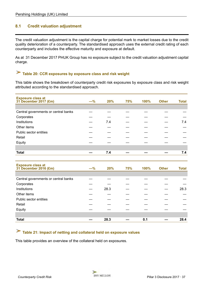### <span id="page-36-0"></span>**8.1 Credit valuation adjustment**

The credit valuation adjustment is the capital charge for potential mark to market losses due to the credit quality deterioration of a counterparty. The standardised approach uses the external credit rating of each counterparty and includes the effective maturity and exposure at default.

As at 31 December 2017 PHUK Group has no exposure subject to the credit valuation adjustment capital charge.

# **Table 20: CCR exposures by exposure class and risk weight**

This table shows the breakdown of counterparty credit risk exposures by exposure class and risk weight attributed according to the standardised approach.

| <b>Exposure class at</b><br>31 December 2017 (£m) | $-%$  | 20%  | 75% | 100% | <b>Other</b> | <b>Total</b> |
|---------------------------------------------------|-------|------|-----|------|--------------|--------------|
|                                                   |       |      |     |      |              |              |
| Central governments or central banks              |       |      |     |      |              |              |
| Corporates                                        |       |      |     |      |              |              |
| Institutions                                      |       | 7.4  |     |      |              | 7.4          |
| Other items                                       |       |      |     |      |              |              |
| Public sector entities                            |       |      |     |      |              |              |
| Retail                                            |       |      |     |      |              |              |
| Equity                                            |       |      |     |      |              |              |
|                                                   |       |      |     |      |              |              |
| <b>Total</b>                                      |       | 7.4  |     |      |              | 7.4          |
|                                                   |       |      |     |      |              |              |
|                                                   |       |      |     |      |              |              |
| <b>Exposure class at</b><br>31 December 2016 (£m) | $-\%$ | 20%  | 75% | 100% | <b>Other</b> | <b>Total</b> |
|                                                   |       |      |     |      |              |              |
| Central governments or central banks              |       |      |     |      |              |              |
| Corporates                                        |       |      |     |      |              |              |
| Institutions                                      |       | 28.3 |     |      |              | 28.3         |
| Other items                                       |       |      |     |      |              |              |
| Public sector entities                            |       |      |     |      |              |              |
| Retail                                            |       |      |     |      |              |              |
| Equity                                            |       |      |     |      |              |              |
|                                                   |       |      |     |      |              |              |

# **Table 21: Impact of netting and collateral held on exposure values**

This table provides an overview of the collateral held on exposures.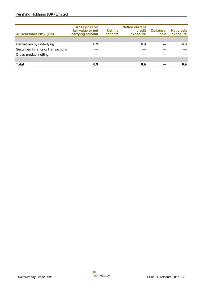### Pershing Holdings (UK) Limited

| 31 December 2017 (£m)                    | <b>Gross positive</b><br>fair value or net<br>carrying amount | <b>Netting</b><br>benefits | <b>Netted current</b><br>credit<br>exposure | <b>Collateral</b><br>held | <b>Net credit</b><br>exposure |
|------------------------------------------|---------------------------------------------------------------|----------------------------|---------------------------------------------|---------------------------|-------------------------------|
|                                          |                                                               |                            |                                             |                           |                               |
| Derivatives by underlying                | 6.9                                                           |                            | 6.9                                         |                           | 6.9                           |
| <b>Securities Financing Transactions</b> |                                                               |                            |                                             |                           |                               |
| Cross-product netting                    |                                                               |                            |                                             |                           |                               |
|                                          |                                                               |                            |                                             |                           |                               |
| Total                                    | 6.9                                                           |                            | 6.9                                         |                           | 6.9                           |

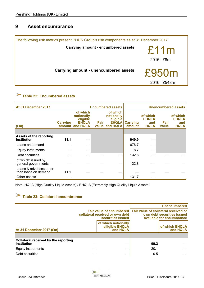### <span id="page-38-0"></span>**9 Asset encumbrance**



# **Table 22: Encumbered assets**

| At 31 December 2017                            |                 |                                                                       |      | <b>Encumbered assets</b>                                             |                           |                                                |               | <b>Unencumbered assets</b>                     |
|------------------------------------------------|-----------------|-----------------------------------------------------------------------|------|----------------------------------------------------------------------|---------------------------|------------------------------------------------|---------------|------------------------------------------------|
| $(\text{Em})$                                  | <b>Carrying</b> | of which<br>notionally<br>eligible<br><b>EHQLA</b><br>amount and HQLA | Fair | of which<br>notionally<br>eligible<br><b>EHQLA</b><br>value and HQLA | <b>Carrying</b><br>amount | of which<br><b>EHQLA</b><br>and<br><b>HQLA</b> | Fair<br>value | of which<br><b>EHQLA</b><br>and<br><b>HQLA</b> |
|                                                |                 |                                                                       |      |                                                                      |                           |                                                |               |                                                |
| <b>Assets of the reporting</b><br>institution  | 11.1            |                                                                       |      |                                                                      | 949.9                     |                                                |               |                                                |
| Loans on demand                                |                 |                                                                       |      |                                                                      | 676.7                     |                                                |               |                                                |
| <b>Equity instruments</b>                      |                 |                                                                       |      |                                                                      | 8.7                       |                                                |               |                                                |
| Debt securities                                |                 |                                                                       |      |                                                                      | 132.8                     |                                                |               |                                                |
| of which: issued by<br>general governments     |                 |                                                                       |      |                                                                      | 132.8                     |                                                |               |                                                |
| Loans & advances other<br>than loans on demand | 11.1            |                                                                       |      |                                                                      |                           |                                                |               |                                                |
| Other assets                                   |                 |                                                                       |      |                                                                      | 131.7                     |                                                |               |                                                |

Note: HQLA (High Quality Liquid Assets) / EHQLA (Extremely High Quality Liquid Assets)

# **Table 23: Collateral encumbrance**

|                                                     |                                                                                                                         |      | <b>Unencumbered</b>                                     |
|-----------------------------------------------------|-------------------------------------------------------------------------------------------------------------------------|------|---------------------------------------------------------|
|                                                     | Fair value of encumbered   Fair value of collateral received or<br>collateral received or own debt<br>securities issued |      | own debt securities issued<br>available for encumbrance |
| At 31 December 2017 (£m)                            | of which notionally<br>elligible EHQLA<br>and HQLA                                                                      |      | of which EHQLA<br>and HQLA                              |
|                                                     |                                                                                                                         |      |                                                         |
| Collateral received by the reporting<br>institution |                                                                                                                         | 99.2 |                                                         |
| <b>Equity instruments</b>                           |                                                                                                                         | 20.1 |                                                         |
| Debt securities                                     |                                                                                                                         | 0.5  |                                                         |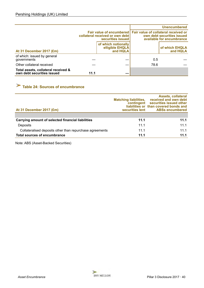<span id="page-39-0"></span>

|                                                                   |      |                                                                                                                         |      | <b>Unencumbered</b>                                     |
|-------------------------------------------------------------------|------|-------------------------------------------------------------------------------------------------------------------------|------|---------------------------------------------------------|
|                                                                   |      | Fair value of encumbered   Fair value of collateral received or<br>collateral received or own debt<br>securities issued |      | own debt securities issued<br>available for encumbrance |
| At 31 December 2017 (£m)                                          |      | of which notionally<br>elligible EHQLA<br>and HQLA                                                                      |      | of which EHQLA<br>and HQLA                              |
| of which: issued by general<br>governments                        |      |                                                                                                                         | 0.5  |                                                         |
| Other collateral received                                         |      |                                                                                                                         | 78.6 |                                                         |
| Total assets, collateral received &<br>own debt securities issued | 11.1 |                                                                                                                         |      |                                                         |

# **Table 24: Sources of encumbrance**

| At 31 December 2017 (£m)                                 | <b>Matching liabilities,</b><br>contingent | <b>Assets, collateral</b><br>received and own debt<br>securities issued other<br>liabilities or than covered bonds and<br>securities lent ABSs encumbered |
|----------------------------------------------------------|--------------------------------------------|-----------------------------------------------------------------------------------------------------------------------------------------------------------|
|                                                          |                                            |                                                                                                                                                           |
| Carrying amount of selected financial liabilities        | 11.1                                       | 11.1                                                                                                                                                      |
| Deposits                                                 | 11.1                                       | 11.1                                                                                                                                                      |
| Collateralised deposits other than repurchase agreements | 11.1                                       | 11.1                                                                                                                                                      |
| <b>Total sources of encumbrance</b>                      | 11.1                                       | 11.1                                                                                                                                                      |

Note: ABS (Asset-Backed Securities)

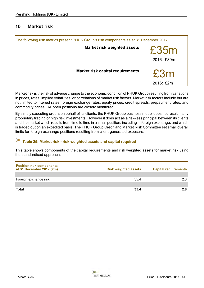### <span id="page-40-0"></span>**10 Market risk**

| The following risk metrics present PHUK Group's risk components as at 31 December 2017. |                                         |                    |
|-----------------------------------------------------------------------------------------|-----------------------------------------|--------------------|
|                                                                                         | <b>Market risk weighted assets</b>      | £35m<br>2016: £30m |
|                                                                                         | <b>Market risk capital requirements</b> | £3m<br>2016: £2m   |

Market risk is the risk of adverse change to the economic condition of PHUK Group resulting from variations in prices, rates, implied volatilities, or correlations of market risk factors. Market risk factors include but are not limited to interest rates, foreign exchange rates, equity prices, credit spreads, prepayment rates, and commodity prices. All open positions are closely monitored.

By simply executing orders on behalf of its clients, the PHUK Group business model does not result in any proprietary trading or high risk investments. However it does act as a risk-less principal between its clients and the market which results from time to time in a small position, including in foreign exchange, and which is traded out on an expedited basis. The PHUK Group Credit and Market Risk Committee set small overall limits for foreign exchange positions resulting from client-generated exposure.

#### X **Table 25: Market risk - risk weighted assets and capital required**

This table shows components of the capital requirements and risk weighted assets for market risk using the standardised approach.

| <b>Position risk components</b><br>at 31 December 2017 (£m) | <b>Risk weighted assets</b> | <b>Capital requirements</b> |
|-------------------------------------------------------------|-----------------------------|-----------------------------|
|                                                             |                             |                             |
| Foreign exchange risk                                       | 35.4                        | 28                          |
|                                                             |                             |                             |
| <b>Total</b>                                                | 35.4                        |                             |

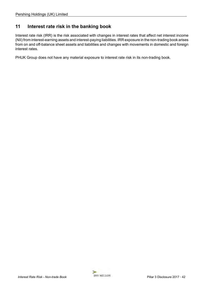### <span id="page-41-0"></span>**11 Interest rate risk in the banking book**

Interest rate risk (IRR) is the risk associated with changes in interest rates that affect net interest income (NII) from interest-earning assets and interest-paying liabilities. IRR exposure in the non-trading book arises from on and off-balance sheet assets and liabilities and changes with movements in domestic and foreign interest rates.

PHUK Group does not have any material exposure to interest rate risk in its non-trading book.

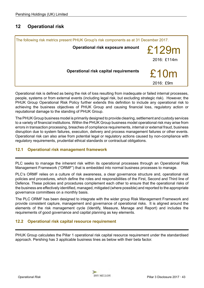### <span id="page-42-0"></span>**12 Operational risk**



Operational risk is defined as being the risk of loss resulting from inadequate or failed internal processes, people, systems or from external events (including legal risk, but excluding strategic risk). However, the PHUK Group Operational Risk Policy further extends this definition to include any operational risk to achieving the business objectives of PHUK Group and causing financial loss, regulatory action or reputational damage to the standing of PHUK Group.

The PHUK Group business model is primarily designed to provide clearing, settlement and custody services to a variety of financial institutions. Within the PHUK Group business model operational risk may arise from errors in transaction processing, breaches of compliance requirements, internal or external fraud, business disruption due to system failures, execution, delivery and process management failures or other events. Operational risk can also arise from potential legal or regulatory actions caused by non-compliance with regulatory requirements, prudential ethical standards or contractual obligations.

### **12.1 Operational risk management framework**

PLC seeks to manage the inherent risk within its operational processes through an Operational Risk Management Framework ("ORMF") that is embedded into normal business processes to manage.

PLC's ORMF relies on a culture of risk awareness, a clear governance structure and, operational risk policies and procedures, which define the roles and responsibilities of the First, Second and Third line of Defence. These policies and procedures complement each other to ensure that the operational risks of the business are effectively identified, managed, mitigated (where possible) and reported to the appropriate governance committees on a monthly basis.

The PLC ORMF has been designed to integrate with the wider group Risk Management Framework and provide consistent capture, management and governance of operational risks. It is aligned around the elements of the risk management cycle (Identify, Measure, Manage and Report) and includes the requirements of good governance and capital planning as key elements.

### **12.2 Operational risk capital resource requirement**

PHUK Group calculates the Pillar 1 operational risk capital resource requirement under the standardised approach. Pershing has 3 applicable business lines as below with their beta factor.

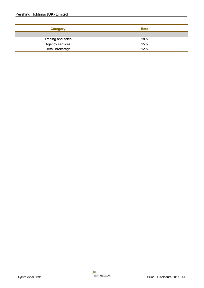| <b>Category</b>   | <b>Beta</b> |
|-------------------|-------------|
|                   |             |
| Trading and sales | 18%         |
| Agency services   | 15%         |
| Retail brokerage  | 12%         |

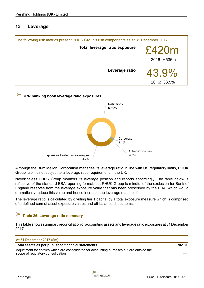### <span id="page-44-0"></span>**13 Leverage**





Although the BNY Mellon Corporation manages its leverage ratio in line with US regulatory limits, PHUK Group itself is not subject to a leverage ratio requirement in the UK.

Nevertheless PHUK Group monitors its leverage position and reports accordingly. The table below is reflective of the standard EBA reporting format, but PHUK Group is mindful of the exclusion for Bank of England reserves from the leverage exposure value that has been prescribed by the PRA, which would dramatically reduce this value and hence increase the leverage ratio itself.

The leverage ratio is calculated by dividing tier 1 capital by a total exposure measure which is comprised of a defined sum of asset exposure values and off-balance sheet items.

#### **Table 26: Leverage ratio summary**

This table shows summary reconciliation of accounting assets and leverage ratio exposures at 31 December 2017.

#### **At 31 December 2017 (£m)**

### **Total assets as per published financial statements 961.0**

Adjustment for entities which are consolidated for accounting purposes but are outside the scope of regulatory consolidation

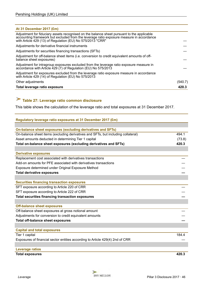<span id="page-45-0"></span>

| At 31 December 2017 (£m)                                                                                                                                                                                                                             |         |
|------------------------------------------------------------------------------------------------------------------------------------------------------------------------------------------------------------------------------------------------------|---------|
| Adjustment for fiduciary assets recognised on the balance sheet pursuant to the applicable<br>accounting framework but excluded from the leverage ratio exposure measure in accordance<br>with Article 429 (13) of Regulation (EU) No 575/2013 "CRR" |         |
| Adjustments for derivative financial instruments                                                                                                                                                                                                     |         |
| Adjustments for securities financing transactions (SFTs)                                                                                                                                                                                             |         |
| Adjustment for off-balance sheet items (i.e. conversion to credit equivalent amounts of off-<br>balance sheet exposures)                                                                                                                             |         |
| Adjustment for intragroup exposures excluded from the leverage ratio exposure measure in<br>accordance with Article 429 (7) of Regulation (EU) No 575/2013                                                                                           |         |
| Adjustment for exposures excluded from the leverage ratio exposure measure in accordance<br>with Article 429 (14) of Regulation (EU) No 575/2013                                                                                                     |         |
| Other adjustments                                                                                                                                                                                                                                    | (540.7) |
| Total leverage ratio exposure                                                                                                                                                                                                                        | 420.3   |

# **Table 27: Leverage ratio common disclosure**

This table shows the calculation of the leverage ratio and total exposures at 31 December 2017.

| Regulatory leverage ratio exposures at 31 December 2017 (£m)                      |        |
|-----------------------------------------------------------------------------------|--------|
|                                                                                   |        |
| On-balance sheet exposures (excluding derivatives and SFTs)                       |        |
| On-balance sheet items (excluding derivatives and SFTs, but including collateral) | 494.1  |
| Asset amounts deducted in determining Tier 1 capital                              | (73.8) |
| Total on-balance sheet exposures (excluding derivatives and SFTs)                 | 420.3  |
|                                                                                   |        |
| <b>Derivative exposures</b>                                                       |        |
| Replacement cost associated with derivatives transactions                         |        |
| Add-on amounts for PFE associated with derivatives transactions                   |        |
| Exposure determined under Original Exposure Method                                |        |
| <b>Total derivative exposures</b>                                                 |        |
|                                                                                   |        |
| <b>Securities financing transaction exposures</b>                                 |        |
| SFT exposure according to Article 220 of CRR                                      |        |
| SFT exposure according to Article 222 of CRR                                      |        |
| <b>Total securities financing transaction exposures</b>                           |        |
|                                                                                   |        |
| <b>Off-balance sheet exposures</b>                                                |        |
| Off-balance sheet exposures at gross notional amount                              |        |
| Adjustments for conversion to credit equivalent amounts                           |        |
| <b>Total off-balance sheet exposures</b>                                          |        |
|                                                                                   |        |
| <b>Capital and total exposures</b>                                                |        |
| Tier 1 capital                                                                    | 184.4  |
| Exposures of financial sector entities according to Article 429(4) 2nd of CRR     |        |
|                                                                                   |        |
| <b>Leverage ratios</b>                                                            |        |
| <b>Total exposures</b>                                                            | 420.3  |

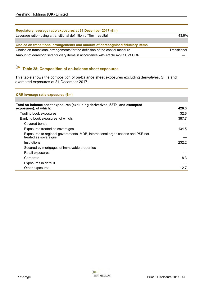<span id="page-46-0"></span>

| Regulatory leverage ratio exposures at 31 December 2017 (£m)                     |              |
|----------------------------------------------------------------------------------|--------------|
| Leverage ratio - using a transitional definition of Tier 1 capital               | 43.9%        |
|                                                                                  |              |
| Choice on transitional arrangements and amount of derecognised fiduciary items   |              |
| Choice on transitional arrangements for the definition of the capital measure    | Transitional |
| Amount of derecognised fiduciary items in accordance with Article 429(11) of CRR |              |

# **Table 28: Composition of on-balance sheet exposures**

This table shows the composition of on-balance sheet exposures excluding derivatives, SFTs and exempted exposures at 31 December 2017.

| <b>CRR leverage ratio exposures (£m)</b> |  |  |  |  |
|------------------------------------------|--|--|--|--|
|------------------------------------------|--|--|--|--|

| Total on-balance sheet exposures (excluding derivatives, SFTs, and exempted<br>exposures), of which:     | 420.3 |
|----------------------------------------------------------------------------------------------------------|-------|
| Trading book exposures                                                                                   | 32.6  |
| Banking book exposures, of which:                                                                        | 387.7 |
| Covered bonds                                                                                            |       |
| Exposures treated as sovereigns                                                                          | 134.5 |
| Exposures to regional governments, MDB, international organisations and PSE not<br>treated as sovereigns |       |
| Institutions                                                                                             | 232.2 |
| Secured by mortgages of immovable properties                                                             |       |
| Retail exposures                                                                                         |       |
| Corporate                                                                                                | 8.3   |
| Exposures in default                                                                                     |       |
| Other exposures                                                                                          | 12.7  |
|                                                                                                          |       |

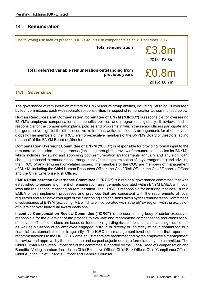### <span id="page-47-0"></span>**14 Remuneration**

| The following risk metrics present PHUK Group's risk components as at 31 December 2017. |                      |  |  |
|-----------------------------------------------------------------------------------------|----------------------|--|--|
| <b>Total remuneration</b>                                                               | £3.8m<br>2016: £3.8m |  |  |
| Total deferred variable remuneration outstanding from<br>previous years                 | £0.8m<br>2016: £0.7m |  |  |

### **14.1 Governance**

The governance of remuneration matters for BNYM and its group entities, including Pershing, is overseen by four committees, each with separate responsibilities in respect of remuneration as summarised below:

**Human Resources and Compensation Committee of BNYM ("HRCC")** is responsible for overseeing BNYM's employee compensation and benefits policies and programmes globally. It reviews and is responsible for the compensation plans, policies and programs in which the senior officers participate and has general oversight for the other incentive, retirement, welfare and equity arrangements for all employees globally. The members of the HRCC are non-executive members of the BNYM's Board of Directors, acting on behalf of the BNYM Board of Directors.

**Compensation Oversight Committee of BNYM ("COC")** is responsible for providing formal input to the remuneration decision-making process (including through the review of remuneration policies for BNYM), which includes reviewing and approving both remuneration arrangements annually and any significant changes proposed to remuneration arrangements (including termination of any arrangement) and advising the HRCC of any remuneration-related issues. The members of the COC are members of management of BNYM, including the Chief Human Resources Officer, the Chief Risk Officer, the Chief Financial Officer and the Chief Enterprise Risk Officer.

**EMEA Remuneration Governance Committee ("ERGC")** is a regional governance committee that was established to ensure alignment of remuneration arrangements operated within BNYM EMEA with local laws and regulations impacting on remuneration. The ERGC is responsible for ensuring that local BNYM EMEA offices implement processes and practices that are consistent with the requirements of local regulators and also have oversight of the functioning and decisions taken by the Remuneration Committees of subsidiaries of BNYM (excluding IM), which are incorporated within the EMEA region, with the exclusion of oversight over individual award decisions.

**Incentive Compensation Review Committee ("ICRC")** is the coordinating body of senior executives responsible for the oversight of the process to evaluate and recommend compensation reductions for all employees. These decisions are based on feedback regarding risk, compliance, audit and legal outcomes as well as situations of an employee engaged in fraud or directly or indirectly to have contributed to a financial restatement or other irregularity. The ICRC is a management-level committee that reports its recommendations to the HRCC. Ex ante adjustments are recommended by the employee's management for review and approval by the committee and ex post adjustments are formulated by the committee. The Chief Human Resources Officer chairs the committee supported by the Global Head of Compensation and Benefits. Voting members include the Chief Executive Officer, Chief Risk Officer, Chief Compliance Officer, Chief Auditor, Chief Financial Officer and General Counsel.

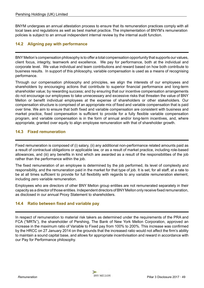<span id="page-48-0"></span>BNYM undergoes an annual attestation process to ensure that its remuneration practices comply with all local laws and regulations as well as best market practice. The implementation of BNYM's remuneration policies is subject to an annual independent internal review by the internal audit function.

### **14.2 Aligning pay with performance**

BNY Mellon's compensation philosophy is to offer a total compensation opportunity that supports our values, client focus, integrity, teamwork and excellence. We pay for performance, both at the individual and corporate level. We value individual and team contributions and reward based on how both contribute to business results. In support of this philosophy, variable compensation is used as a means of recognising performance.

Through our compensation philosophy and principles, we align the interests of our employees and shareholders by encouraging actions that contribute to superior financial performance and long-term shareholder value; by rewarding success; and by ensuring that our incentive compensation arrangements do not encourage our employees to take unnecessary and excessive risks that threaten the value of BNY Mellon or benefit individual employees at the expense of shareholders or other stakeholders. Our compensation structure is comprised of an appropriate mix of fixed and variable compensation that is paid over time. We aim to ensure that both fixed and variable compensation are consistent with business and market practice, fixed compensation is sufficient to provide for a fully flexible variable compensation program, and variable compensation is in the form of annual and/or long-term incentives, and, where appropriate, granted over equity to align employee remuneration with that of shareholder growth.

### **14.3 Fixed remuneration**

Fixed remuneration is composed of (i) salary, (ii) any additional non-performance related amounts paid as a result of contractual obligations or applicable law, or as a result of market practice, including role-based allowances, and (iii) any benefits in kind which are awarded as a result of the responsibilities of the job rather than the performance within the job.

The fixed remuneration of an employee is determined by the job performed, its level of complexity and responsibility, and the remuneration paid in the market for that type of job. It is set, for all staff, at a rate to be at all times sufficient to provide for full flexibility with regards to any variable remuneration element, including zero variable remuneration.

Employees who are directors of other BNY Mellon group entities are not remunerated separately in their capacity as a director of those entities. Independent directors of BNYMellon only receive fixed remuneration, as disclosed in our annual Proxy Statement to shareholders.

### **14.4 Ratio between fixed and variable pay**

In respect of remuneration to material risk takers as determined under the requirements of the PRA and FCA ("MRTs"), the shareholder of Pershing, The Bank of New York Mellon Corporation, approved an increase in the maximum ratio of Variable to Fixed pay from 100% to 200%. This increase was confirmed by the HRCC on 27 January 2014 on the grounds that the increased ratio would not affect the firm's ability to maintain a sound capital base, and allows for appropriate incentivisation and reward in accordance with our Pay for Performance philosophy.

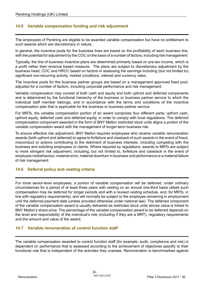### <span id="page-49-0"></span>**14.5 Variable compensation funding and risk adjustment**

The employees of Pershing are eligible to be awarded variable compensation but have no entitlement to such awards which are discretionary in nature.

In general, the incentive pools for the business lines are based on the profitability of each business line, with the potential for adjustment by the COC on the basis of a number of factors, including risk management.

Typically, the line of business incentive plans are determined primarily based on pre-tax income, which is a profit rather than revenue based measure. The plans are subject to discretionary adjustment by the business head, COC and HRCC based on factors in assessing the earnings including (but not limited to) significant non-recurring activity, market conditions, interest and currency rates.

The incentive pools for the business partner groups are based on a management approved fixed pool, adjusted for a number of factors, including corporate performance and risk management.

Variable compensation may consist of both cash and equity and both upfront and deferred components and is determined by the functional hierarchy of the business or business partner service to which the individual staff member belongs, and in accordance with the terms and conditions of the incentive compensation plan that is applicable for the business or business partner service.

For MRTs, the variable compensation portion of an award comprises four different parts: upfront cash, upfront equity, deferred cash and deferred equity, in order to comply with local regulations. The deferred compensation component awarded in the form of BNY Mellon restricted stock units aligns a portion of the variable compensation award with the management of longer-term business risk.

To ensure effective risk adjustment, BNY Mellon requires employees who receive variable remuneration awards (both upfront and deferred) to agree to forfeiture and clawback of such awards in the event of fraud, misconduct or actions contributing to the detriment of business interests, including competing with the business and soliciting employees or clients. Where required by regulations, awards to MRTs are subject to more stringent risk adjustment, including, but not limited to, forfeiture and clawback in the event of employee misbehaviour, material error, material downturn in business unit performance or a material failure of risk management.

### **14.6 Deferral policy and vesting criteria**

For more senior-level employees, a portion of variable compensation will be deferred, under ordinary circumstances for a period of at least three years with vesting on an annual one-third basis (albeit such compensation may be deferred for longer periods and with a revised vesting schedule, and, for MRTs, in line with regulatory requirements), and will normally be subject to the employee remaining in employment until the deferred payment date (unless provided otherwise under national law). The deferred component of the variable compensation award is usually delivered as restricted stock units whose value is linked to BNY Mellon's share price. The percentage of the variable compensation award to be deferred depends on the level and responsibility of the individual's role (including if they are a MRT), regulatory requirements and the amount and value of the award.

### **14.7 Variable remuneration of control function staff**

The variable compensation awarded to control function staff (for example: audit, compliance and risk) is dependent on performance that is assessed according to the achievement of objectives specific to their functional role that is independent of the activities they oversee. Remuneration is benchmarked against

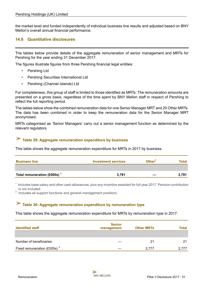<span id="page-50-0"></span>the market level and funded independently of individual business line results and adjusted based on BNY Mellon's overall annual financial performance.

### **14.8 Quantitative disclosures**

The tables below provide details of the aggregate remuneration of senior management and MRTs for Pershing for the year ending 31 December 2017.

The figures illustrate figures from three Pershing financial legal entities:

- Pershing Ltd
- Pershing Securities International Ltd
- Pershing (Channel Islands) Ltd

For completeness, this group of staff is limited to those identified as MRTs. The remuneration amounts are presented on a gross basis, regardless of the time spent by BNY Mellon staff in respect of Pershing to reflect the full reporting period.

The tables below show the combined remuneration data for one Senior Manager MRT and 20 Other MRTs. The data has been combined in order to keep the remuneration data for the Senior Manager MRT anonymised.

MRTs categorised as 'Senior Managers' carry out a senior management function as determined by the relevant regulators.

#### X **Table 29: Aggregate remuneration expenditure by business**

This table shows the aggregate remuneration expenditure for MRTs in 2017 by business.

| <b>Business line</b>           | <b>Investment services</b> | Other $2$ | Total |
|--------------------------------|----------------------------|-----------|-------|
|                                |                            |           |       |
| Total remuneration (£000s) $1$ | 3,791                      |           | 3.791 |

 $1$  Includes base salary and other cash allowances, plus any incentive awarded for full year 2017. Pension contribution is not included.

 $2$  Includes all support functions and general management positions.

# **Table 30: Aggregate remuneration expenditure by remuneration type**

#### This table shows the aggregate remuneration expenditure for MRTs by remuneration type in 2017.

| <b>Identified staff</b>        | <b>Senior</b><br>management | <b>Other MRTs</b> | Total |
|--------------------------------|-----------------------------|-------------------|-------|
|                                |                             |                   |       |
| Number of beneficiaries        |                             | 21                | 21    |
| Fixed remuneration (£000s) $3$ |                             | 2.777             | 2.777 |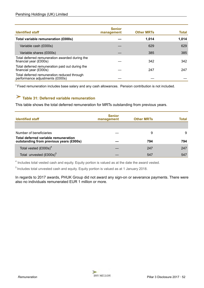<span id="page-51-0"></span>

| <b>Identified staff</b>                                                        | <b>Senior</b><br>management | <b>Other MRTs</b> | Total |
|--------------------------------------------------------------------------------|-----------------------------|-------------------|-------|
| Total variable remuneration (£000s)                                            |                             | 1.014             | 1,014 |
| Variable cash (£000s)                                                          |                             | 629               | 629   |
| Variable shares (£000s)                                                        |                             | 385               | 385   |
| Total deferred remuneration awarded during the<br>financial year (£000s)       |                             | 342               | 342   |
| Total deferred remuneration paid out during the<br>financial year (£000s)      |                             | 247               | 247   |
| Total deferred remuneration reduced through<br>performance adjustments (£000s) |                             |                   |       |

 $3$  Fixed remuneration includes base salary and any cash allowances. Pension contribution is not included.

# **Table 31: Deferred variable remuneration**

This table shows the total deferred remuneration for MRTs outstanding from previous years.

| <b>Identified staff</b>                                                         | <b>Senior</b><br>management | <b>Other MRTs</b> | Total |
|---------------------------------------------------------------------------------|-----------------------------|-------------------|-------|
| Number of beneficiaries                                                         |                             | 9                 | 9     |
| Total deferred variable remuneration<br>outstanding from previous years (£000s) |                             | 794               | 794   |
| Total vested $(£000s)^4$                                                        |                             | 247               | 247   |
| Total unvested (£000s) <sup>5</sup>                                             |                             | 547               | 547   |

 $<sup>4</sup>$  Includes total vested cash and equity. Equity portion is valued as at the date the award vested.</sup>

5 Includes total unvested cash and equity. Equity portion is valued as at 1 January 2018.

In regards to 2017 awards, PHUK Group did not award any sign-on or severance payments. There were also no individuals remunerated EUR 1 million or more.

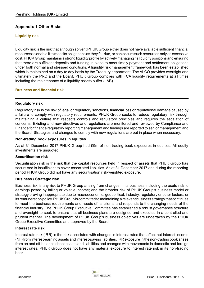### <span id="page-52-0"></span>**Appendix 1 Other Risks**

### **Liquidity risk**

Liquidity risk is the risk that although solvent PHUK Group either does not have available sufficient financial resources to enable it to meet its obligations as they fall due, or can secure such resources only as excessive cost. PHUK Group maintains a strong liquidity profile by actively managing its liquidity positions and ensuring that there are sufficient deposits and funding in place to meet timely payment and settlement obligations under both normal and stressed conditions. A liquidity risk management framework has been established which is maintained on a day to day basis by the Treasury department. The ALCO provides oversight and ultimately the PRC and the Board. PHUK Group complies with FCA liquidity requirements at all times including the maintenance of a liquidity assets buffer (LAB).

#### **Business and financial risk**

### **Regulatory risk**

Regulatory risk is the risk of legal or regulatory sanctions, financial loss or reputational damage caused by a failure to comply with regulatory requirements. PHUK Group seeks to reduce regulatory risk through maintaining a culture that respects controls and regulatory principles and requires the escalation of concerns. Existing and new directives and regulations are monitored and reviewed by Compliance and Finance for finance regulatory reporting management and findings are reported to senior management and the Board. Strategies and changes to comply with new regulations are put in place when necessary.

#### **Non-trading book exposures in equities**

As at 31 December 2017 PHUK Group had £9m of non-trading book exposures in equities. All equity investments are unquoted.

#### **Securitisation risk**

Securitisation risk is the risk that the capital resources held in respect of assets that PHUK Group has securitised is insufficient to cover associated liabilities. As at 31 December 2017 and during the reporting period PHUK Group did not have any securitisation risk-weighted exposure.

#### **Business / Strategic risk**

Business risk is any risk to PHUK Group arising from changes in its business including the acute risk to earnings posed by falling or volatile income; and the broader risk of PHUK Group's business model or strategy proving inappropriate due to macroeconomic, geopolitical, industry, regulatory or other factors; or its remuneration policy. PHUK Group is committed to maintaining a relevant business strategy that continues to meet the business requirements and needs of its clients and responds to the changing needs of the financial industry. The PHUK Group Executive Committee has established a robust governance structure and oversight to seek to ensure that all business plans are designed and executed in a controlled and prudent manner. The development of PHUK Group's business objectives are undertaken by the PHUK Group Executive Committee and approved by the Board*.* 

#### **Interest rate risk**

Interest rate risk (IRR) is the risk associated with changes in interest rates that affect net interest income (NII) from interest-earning assets and interest-paying liabilities. IRR exposure in the non-trading book arises from on and off-balance sheet assets and liabilities and changes with movements in domestic and foreign interest rates. PHUK Group does not have any material exposure to interest rate risk in its non-trading book.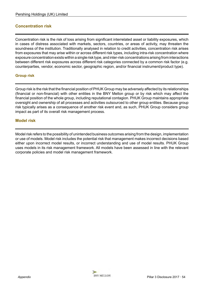### <span id="page-53-0"></span>**Concentration risk**

Concentration risk is the risk of loss arising from significant interrelated asset or liability exposures, which in cases of distress associated with markets, sectors, countries, or areas of activity, may threaten the soundness of the institution. Traditionally analysed in relation to credit activities, concentration risk arises from exposures that may arise within or across different risk types, including intra-risk concentration where exposure concentration exists within a single risk type, and inter-risk concentrations arising from interactions between different risk exposures across different risk categories connected by a common risk factor (e.g. counterparties, vendor, economic sector, geographic region, and/or financial instrument/product type).

### **Group risk**

Group risk is the risk that the financial position of PHUK Group may be adversely affected by its relationships (financial or non-financial) with other entities in the BNY Mellon group or by risk which may affect the financial position of the whole group, including reputational contagion. PHUK Group maintains appropriate oversight and ownership of all processes and activities outsourced to other group entities. Because group risk typically arises as a consequence of another risk event and, as such, PHUK Group considers group impact as part of its overall risk management process.

### **Model risk**

Model risk refers to the possibility of unintended business outcomes arising from the design, implementation or use of models. Model risk includes the potential risk that management makes incorrect decisions based either upon incorrect model results, or incorrect understanding and use of model results. PHUK Group uses models in its risk management framework. All models have been assessed in line with the relevant corporate policies and model risk management framework.



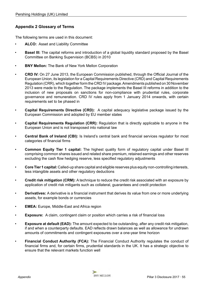### <span id="page-54-0"></span>**Appendix 2 Glossary of Terms**

The following terms are used in this document:

- **ALCO:** Asset and Liability Committee
- **Basel III:** The capital reforms and introduction of a global liquidity standard proposed by the Basel Committee on Banking Supervision (BCBS) in 2010
- **BNY Mellon:** The Bank of New York Mellon Corporation
- **CRD IV:** On 27 June 2013, the European Commission published, through the Official Journal of the European Union, its legislation for a Capital Requirements Directive (CRD) and Capital Requirements Regulation (CRR), which together form the CRD IV package. Amendments published on 30 November 2013 were made to the Regulation. The package implements the Basel III reforms in addition to the inclusion of new proposals on sanctions for non-compliance with prudential rules, corporate governance and remuneration. CRD IV rules apply from 1 January 2014 onwards, with certain requirements set to be phased in
- **Capital Requirements Directive (CRD):** A capital adequacy legislative package issued by the European Commission and adopted by EU member states
- **Capital Requirements Regulation (CRR):** Regulation that is directly applicable to anyone in the European Union and is not transposed into national law
- **Central Bank of Ireland (CBI):** Is Ireland's central bank and financial services regulator for most categories of financial firms
- **Common Equity Tier 1 capital:** The highest quality form of regulatory capital under Basel III comprising common shares issued and related share premium, retained earnings and other reserves excluding the cash flow hedging reserve, less specified regulatory adjustments
- **Core Tier 1 capital:** Called-up share capital and eligible reserves plus equity non-controlling interests, less intangible assets and other regulatory deductions
- **Credit risk mitigation (CRM):** A technique to reduce the credit risk associated with an exposure by application of credit risk mitigants such as collateral, guarantees and credit protection
- **Derivatives:** A derivative is a financial instrument that derives its value from one or more underlying assets, for example bonds or currencies
- **EMEA:** Europe, Middle-East and Africa region
- **Exposure:** A claim, contingent claim or position which carries a risk of financial loss
- **Exposure at default (EAD):** The amount expected to be outstanding, after any credit risk mitigation, if and when a counterparty defaults. EAD reflects drawn balances as well as allowance for undrawn amounts of commitments and contingent exposures over a one-year time horizon
- **Financial Conduct Authority (FCA):** The Financial Conduct Authority regulates the conduct of financial firms and, for certain firms, prudential standards in the UK. It has a strategic objective to ensure that the relevant markets function well

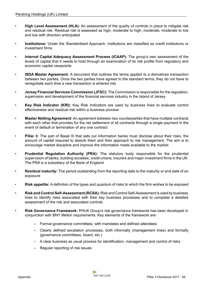- **High Level Assessment (HLA):** An assessment of the quality of controls in place to mitigate risk and residual risk. Residual risk is assessed as high, moderate to high, moderate, moderate to low and low with direction anticipated
- **Institutions:** Under the Standardised Approach, institutions are classified as credit institutions or investment firms
- **Internal Capital Adequacy Assessment Process (ICAAP):** The group's own assessment of the levels of capital that it needs to hold through an examination of its risk profile from regulatory and economic capital viewpoints
- **ISDA Master Agreement:** A document that outlines the terms applied to a derivatives transaction between two parties. Once the two parties have agreed to the standard terms, they do not have to renegotiate each time a new transaction is entered into
- **Jersey Financial Services Commission (JFSC):** The Commission is responsible for the regulation, supervision and development of the financial services industry in the Island of Jersey
- **Key Risk Indicator (KRI):** Key Risk Indicators are used by business lines to evaluate control effectiveness and residual risk within a business process
- **Master Netting Agreement:** An agreement between two counterparties that have multiple contracts with each other that provides for the net settlement of all contracts through a single payment in the event of default or termination of any one contract
- **Pillar 3:** The part of Basel III that sets out information banks must disclose about their risks, the amount of capital required to absorb them and their approach to risk management. The aim is to encourage market discipline and improve the information made available to the market
- **Prudential Regulation Authority (PRA):** The statutory body responsible for the prudential supervision of banks, building societies, credit unions, insurers and major investment firms in the UK. The PRA is a subsidiary of the Bank of England
- **Residual maturity:** The period outstanding from the reporting date to the maturity or end date of an exposure
- **Risk appetite:** A definition of the types and quantum of risks to which the firm wishes to be exposed
- **Risk and Control Self-Assessment (RCSA):** Risk and Control Self-Assessment is used by business lines to identify risks associated with their key business processes and to complete a detailed assessment of the risk and associated controls
- **Risk Governance Framework:** PHUK Group's risk governance framework has been developed in conjunction with BNY Mellon requirements. Key elements of the framework are:
	- Formal governance committees, with mandates and defined attendees
	- Clearly defined escalation processes, both informally (management lines) and formally (governance committees, board, etc.)
	- A clear business as usual process for identification, management and control of risks
	- Regular reporting of risk issues

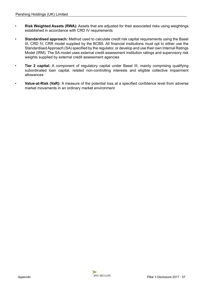- **Risk Weighted Assets (RWA):** Assets that are adjusted for their associated risks using weightings established in accordance with CRD IV requirements
- **Standardised approach:** Method used to calculate credit risk capital requirements using the Basel III, CRD IV, CRR model supplied by the BCBS. All financial institutions must opt to either use the Standardised Approach (SA) specified by the regulator, or develop and use their own Internal Ratings Model (IRM). The SA model uses external credit assessment institution ratings and supervisory risk weights supplied by external credit assessment agencies
- **Tier 2 capital:** A component of regulatory capital under Basel III, mainly comprising qualifying subordinated loan capital, related non-controlling interests and eligible collective impairment allowances
- **Value-at-Risk (VaR):** A measure of the potential loss at a specified confidence level from adverse market movements in an ordinary market environment



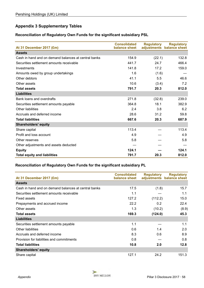### <span id="page-57-0"></span>**Appendix 3 Supplementary Tables**

### **Reconciliation of Regulatory Own Funds for the significant subsidiary PSL**

| At 31 December 2017 (£m)                             | <b>Consolidated</b><br>balance sheet | <b>Regulatory</b> | <b>Regulatory</b><br>adjustments balance sheet |
|------------------------------------------------------|--------------------------------------|-------------------|------------------------------------------------|
| <b>Assets</b>                                        |                                      |                   |                                                |
| Cash in hand and on demand balances at central banks | 154.9                                | (22.1)            | 132.8                                          |
| Securities settlement amounts receivable             | 441.7                                | 24.7              | 466.4                                          |
| Investments                                          | 141.8                                | 17.2              | 159.0                                          |
| Amounts owed by group undertakings                   | 1.6                                  | (1.6)             |                                                |
| Other debtors                                        | 41.1                                 | 5.5               | 46.6                                           |
| Other assets                                         | 10.6                                 | (3.4)             | 7.2                                            |
| <b>Total assets</b>                                  | 791.7                                | 20.3              | 812.0                                          |
| <b>Liabilities</b>                                   |                                      |                   |                                                |
| Bank loans and overdrafts                            | 271.8                                | (32.8)            | 239.0                                          |
| Securities settlement amounts payable                | 364.8                                | 18.1              | 382.9                                          |
| Other liabilities                                    | 2.4                                  | 3.8               | 6.2                                            |
| Accruals and deferred income                         | 28.6                                 | 31.2              | 59.8                                           |
| <b>Total liabilities</b>                             | 667.6                                | 20.3              | 687.9                                          |
| <b>Shareholders' equity</b>                          |                                      |                   |                                                |
| Share capital                                        | 113.4                                |                   | 113.4                                          |
| Profit and loss account                              | 4.9                                  |                   | 4.9                                            |
| Other reserves                                       | 5.8                                  |                   | 5.8                                            |
| Other adjustments and assets deducted                |                                      |                   |                                                |
| <b>Equity</b>                                        | 124.1                                |                   | 124.1                                          |
| <b>Total equity and liabilities</b>                  | 791.7                                | 20.3              | 812.0                                          |

### **Reconciliation of Regulatory Own Funds for the significant subsidiary PL**

|                                                      | <b>Consolidated</b> | <b>Regulatory</b> | <b>Regulatory</b>         |
|------------------------------------------------------|---------------------|-------------------|---------------------------|
| At 31 December 2017 (£m)                             | balance sheet       |                   | adjustments balance sheet |
| <b>Assets</b>                                        |                     |                   |                           |
| Cash in hand and on demand balances at central banks | 17.5                | (1.8)             | 15.7                      |
| Securities settlement amounts receivable             | 1.1                 |                   | 1.1                       |
| <b>Fixed assets</b>                                  | 127.2               | (112.2)           | 15.0                      |
| Prepayments and accrued income                       | 22.2                | 0.2               | 22.4                      |
| Other assets                                         | 1.3                 | (10.2)            | (8.9)                     |
| <b>Total assets</b>                                  | 169.3               | (124.0)           | 45.3                      |
| <b>Liabilities</b>                                   |                     |                   |                           |
| Securities settlement amounts payable                | 1.1                 |                   | 1.1                       |
| Other liabilities                                    | 0.6                 | 1.4               | 2.0                       |
| Accruals and deferred income                         | 8.3                 | 0.6               | 8.9                       |
| Provision for liabilities and commitments            | 0.8                 |                   | 0.8                       |
| <b>Total liabilities</b>                             | 10.8                | 2.0               | 12.8                      |
| <b>Shareholders' equity</b>                          |                     |                   |                           |
| Share capital                                        | 127.1               | 24.2              | 151.3                     |

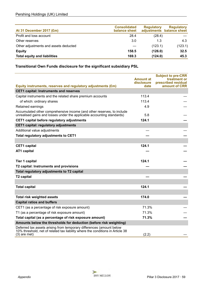| At 31 December 2017 (£m)              | <b>Consolidated</b><br>balance sheet | <b>Regulatory</b> | <b>Regulatory</b><br>adjustments balance sheet |
|---------------------------------------|--------------------------------------|-------------------|------------------------------------------------|
| Profit and loss account               | 28.4                                 | (28.4)            |                                                |
| Other reserves                        | 3.0                                  | 1.3               | 4.3                                            |
| Other adjustments and assets deducted |                                      | (123.1)           | (123.1)                                        |
| <b>Equity</b>                         | 158.5                                | (126.0)           | 32.5                                           |
| <b>Total equity and liabilities</b>   | 169.3                                | (124.0)           | 45.3                                           |

### **Transitional Own Funds disclosure for the significant subsidiary PSL**

|                                                                                                                                                                          | <b>Amount at</b><br>disclosure | <b>Subject to pre-CRR</b><br>treatment or<br>prescribed residual |
|--------------------------------------------------------------------------------------------------------------------------------------------------------------------------|--------------------------------|------------------------------------------------------------------|
| Equity instruments, reserves and regulatory adjustments (£m)                                                                                                             | date                           | amount of CRR                                                    |
| <b>CET1 capital: Instruments and reserves</b>                                                                                                                            |                                |                                                                  |
| Capital instruments and the related share premium accounts                                                                                                               | 113.4                          |                                                                  |
| of which: ordinary shares                                                                                                                                                | 113.4                          |                                                                  |
| Retained earnings                                                                                                                                                        | 4.9                            |                                                                  |
| Accumulated other comprehensive income (and other reserves, to include<br>unrealised gains and losses under the applicable accounting standards)                         | 5.8                            |                                                                  |
| CET1 capital before regulatory adjustments                                                                                                                               | 124.1                          |                                                                  |
| <b>CET1 capital: regulatory adjustments</b>                                                                                                                              |                                |                                                                  |
| Additional value adjustments                                                                                                                                             |                                |                                                                  |
| Total regulatory adjustments to CET1                                                                                                                                     |                                |                                                                  |
|                                                                                                                                                                          |                                |                                                                  |
| <b>CET1</b> capital                                                                                                                                                      | 124.1                          |                                                                  |
| AT1 capital                                                                                                                                                              |                                |                                                                  |
|                                                                                                                                                                          |                                |                                                                  |
| <b>Tier 1 capital</b>                                                                                                                                                    | 124.1                          |                                                                  |
| T2 capital: Instruments and provisions                                                                                                                                   |                                |                                                                  |
| Total regulatory adjustments to T2 capital                                                                                                                               |                                |                                                                  |
| <b>T2 capital</b>                                                                                                                                                        |                                |                                                                  |
|                                                                                                                                                                          |                                |                                                                  |
| <b>Total capital</b>                                                                                                                                                     | 124.1                          |                                                                  |
|                                                                                                                                                                          |                                |                                                                  |
| <b>Total risk weighted assets</b>                                                                                                                                        | 174.0                          |                                                                  |
| <b>Capital ratios and buffers</b>                                                                                                                                        |                                |                                                                  |
| CET1 (as a percentage of risk exposure amount)                                                                                                                           | 71.3%                          |                                                                  |
| T1 (as a percentage of risk exposure amount)                                                                                                                             | 71.3%                          |                                                                  |
| Total capital (as a percentage of risk exposure amount)                                                                                                                  | 71.3%                          |                                                                  |
| Amounts below the thresholds for deduction (before risk weighting)                                                                                                       |                                |                                                                  |
| Deferred tax assets arising from temporary differences (amount below<br>10% threshold, net of related tax liability where the conditions in Article 38<br>$(3)$ are met) | (2.2)                          |                                                                  |
|                                                                                                                                                                          |                                |                                                                  |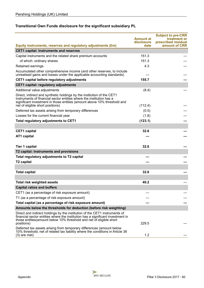### **Transitional Own Funds disclosure for the significant subsidiary PL**

|                                                                                                                                                                                                                                                                |                                | <b>Subject to pre-CRR</b>           |
|----------------------------------------------------------------------------------------------------------------------------------------------------------------------------------------------------------------------------------------------------------------|--------------------------------|-------------------------------------|
|                                                                                                                                                                                                                                                                | <b>Amount at</b><br>disclosure | treatment or<br>prescribed residual |
| Equity instruments, reserves and regulatory adjustments (£m)                                                                                                                                                                                                   | date                           | amount of CRR                       |
| <b>CET1 capital: Instruments and reserves</b>                                                                                                                                                                                                                  |                                |                                     |
| Capital instruments and the related share premium accounts                                                                                                                                                                                                     | 151.3                          |                                     |
| of which: ordinary shares                                                                                                                                                                                                                                      | 151.3                          |                                     |
| Retained earnings                                                                                                                                                                                                                                              | 4.3                            |                                     |
| Accumulated other comprehensive income (and other reserves, to include<br>unrealised gains and losses under the applicable accounting standards)                                                                                                               |                                |                                     |
| CET1 capital before regulatory adjustments                                                                                                                                                                                                                     | 155.7                          |                                     |
| <b>CET1 capital: regulatory adjustments</b>                                                                                                                                                                                                                    |                                |                                     |
| Additional value adjustments                                                                                                                                                                                                                                   | (8.4)                          |                                     |
| Direct, indirect and synthetic holdings by the institution of the CET1<br>instruments of financial sector entities where the institution has a<br>significant investment in those entities (amount above 10% threshold and<br>net of eligible short positions) | (112.4)                        |                                     |
| Deferred tax assets arising from temporary differences                                                                                                                                                                                                         | (0.5)                          |                                     |
| Losses for the current financial year                                                                                                                                                                                                                          | (1.8)                          |                                     |
| Total regulatory adjustments to CET1                                                                                                                                                                                                                           | (123.1)                        |                                     |
|                                                                                                                                                                                                                                                                |                                |                                     |
| <b>CET1</b> capital                                                                                                                                                                                                                                            | 32.6                           |                                     |
| AT1 capital                                                                                                                                                                                                                                                    |                                |                                     |
|                                                                                                                                                                                                                                                                |                                |                                     |
| <b>Tier 1 capital</b>                                                                                                                                                                                                                                          | 32.6                           |                                     |
| T2 capital: Instruments and provisions                                                                                                                                                                                                                         |                                |                                     |
| Total regulatory adjustments to T2 capital                                                                                                                                                                                                                     |                                |                                     |
| T <sub>2</sub> capital                                                                                                                                                                                                                                         |                                |                                     |
|                                                                                                                                                                                                                                                                |                                |                                     |
| <b>Total capital</b>                                                                                                                                                                                                                                           | 32.6                           |                                     |
|                                                                                                                                                                                                                                                                |                                |                                     |
| <b>Total risk weighted assets</b>                                                                                                                                                                                                                              | 40.2                           |                                     |
| <b>Capital ratios and buffers</b>                                                                                                                                                                                                                              |                                |                                     |
| CET1 (as a percentage of risk exposure amount)                                                                                                                                                                                                                 |                                |                                     |
| T1 (as a percentage of risk exposure amount)                                                                                                                                                                                                                   |                                |                                     |
| Total capital (as a percentage of risk exposure amount)                                                                                                                                                                                                        |                                |                                     |
| Amounts below the thresholds for deduction (before risk weighting)                                                                                                                                                                                             |                                |                                     |
| Direct and indirect holdings by the institution of the CET1 instruments of<br>financial sector entities where the institution has a significant investment in<br>those entities (amount below 10% threshold and net of eligible short                          |                                |                                     |
| positions)                                                                                                                                                                                                                                                     | 229.5                          |                                     |
| Deferred tax assets arising from temporary differences (amount below<br>10% threshold, net of related tax liability where the conditions in Article 38<br>$(3)$ are met)                                                                                       | 1.2                            |                                     |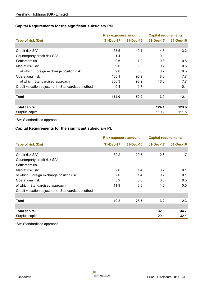### **Capital Requirements for the significant subsidiary PSL**

|                                                   | <b>Risk exposure amount</b> |           | <b>Capital requirements</b> |           |
|---------------------------------------------------|-----------------------------|-----------|-----------------------------|-----------|
| Type of risk (£m)                                 | 31-Dec-17                   | 31-Dec-16 | 31-Dec-17                   | 31-Dec-16 |
|                                                   |                             |           |                             |           |
| Credit risk SA*                                   | 53.5                        | 40.1      | 4.3                         | 3.2       |
| Counterparty credit risk SA*                      | 1.4                         |           | 0.1                         |           |
| Settlement risk                                   | 9.6                         | 7.9       | 0.8                         | 0.6       |
| Market risk SA*                                   | 9.0                         | 6.3       | 0.7                         | 0.5       |
| of which: Foreign exchange position risk          | 9.0                         | 6.3       | 0.7                         | 0.5       |
| Operational risk                                  | 100.1                       | 95.9      | 8.0                         | 7.7       |
| of which: Standardised approach                   | 200.3                       | 95.9      | 16.0                        | 7.7       |
| Credit valuation adjustment - Standardised method | 0.4                         | 0.7       |                             | 0.1       |
|                                                   |                             |           |                             |           |
| <b>Total</b>                                      | 174.0                       | 150.9     | 13.9                        | 12.1      |
|                                                   |                             |           |                             |           |
| <b>Total capital</b>                              |                             |           | 124.1                       | 123.6     |
| Surplus capital                                   |                             |           | 110.2                       | 111.5     |

\*SA: Standardised approach

### **Capital Requirements for the significant subsidiary PL**

|                                                   | <b>Risk exposure amount</b> |           | <b>Capital requirements</b> |           |
|---------------------------------------------------|-----------------------------|-----------|-----------------------------|-----------|
| Type of risk (£m)                                 | 31-Dec-17                   | 31-Dec-16 | 31-Dec-17                   | 31-Dec-16 |
|                                                   |                             |           |                             |           |
| Credit risk SA*                                   | 32.2                        | 20.7      | 2.6                         | 1.7       |
| Counterparty credit risk SA*                      |                             |           |                             |           |
| Settlement risk                                   |                             |           |                             |           |
| Market risk SA*                                   | 2.0                         | 1.4       | 0.2                         | 0.1       |
| of which: Foreign exchange position risk          | 2.0                         | 1.4       | 0.2                         | 0.1       |
| Operational risk                                  | 5.9                         | 6.6       | 0.5                         | 0.5       |
| of which: Standardised approach                   | 11.9                        | 6.6       | 1.0                         | 0.5       |
| Credit valuation adjustment - Standardised method |                             |           |                             |           |
|                                                   |                             |           |                             |           |
| <b>Total</b>                                      | 40.2                        | 28.7      | 3.2                         | 2.3       |
|                                                   |                             |           |                             |           |
| <b>Total capital</b>                              |                             |           | 32.6                        | 34.7      |
| Surplus capital                                   |                             |           | 29.4                        | 32.4      |

\*SA: Standardised approach

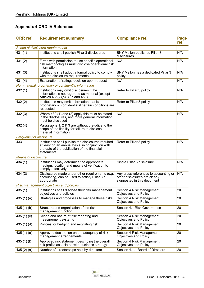## <span id="page-61-0"></span>**Appendix 4 CRD IV Reference**

| <b>CRR</b> ref.                | <b>Requirement summary</b>                                                                                                                                            | <b>Compliance ref.</b>                                                                                | Page<br>ref. |
|--------------------------------|-----------------------------------------------------------------------------------------------------------------------------------------------------------------------|-------------------------------------------------------------------------------------------------------|--------------|
|                                | Scope of disclosure requirements                                                                                                                                      |                                                                                                       |              |
| 431(1)                         | Institutions shall publish Pillar 3 disclosures                                                                                                                       | BNY Mellon publishes Pillar 3<br>disclosures                                                          | N/A          |
| 431 (2)                        | Firms with permission to use specific operational<br>risk methodologies must disclose operational risk<br>information                                                 | N/A                                                                                                   | N/A          |
| 431(3)                         | Institutions shall adopt a formal policy to comply<br>with the disclosure requirements                                                                                | BNY Mellon has a dedicated Pillar 3<br>policy                                                         | N/A          |
| 431(4)                         | Explanation of ratings decision upon request                                                                                                                          | N/A                                                                                                   | N/A          |
|                                | Non-material, proprietary or confidential information                                                                                                                 |                                                                                                       |              |
| 432 (1)                        | Institutions may omit disclosures if the<br>information is not regarded as material (except<br>Articles 435(2)(c), 437 and 450)                                       | Refer to Pillar 3 policy                                                                              | N/A          |
| 432(2)                         | Institutions may omit information that is<br>proprietary or confidential if certain conditions are<br>respected                                                       | Refer to Pillar 3 policy                                                                              | N/A          |
| 432(3)                         | Where 432 (1) and (2) apply this must be stated<br>in the disclosures, and more general information<br>must be disclosed                                              | N/A                                                                                                   | N/A          |
| 432(4)                         | Paragraphs 1, 2 & 3 are without prejudice to the<br>scope of the liability for failure to disclose<br>material information                                            |                                                                                                       |              |
| <b>Frequency of disclosure</b> |                                                                                                                                                                       |                                                                                                       |              |
| 433                            | Institutions shall publish the disclosures required<br>at least on an annual basis, in conjunction with<br>the date of the publication of the financial<br>statements | Refer to Pillar 3 policy                                                                              | N/A          |
| <b>Means of disclosure</b>     |                                                                                                                                                                       |                                                                                                       |              |
| 434 (1)                        | Institutions may determine the appropriate<br>medium, location and means of verification to<br>comply effectively                                                     | Single Pillar 3 disclosure                                                                            | N/A          |
| 434(2)                         | Disclosures made under other requirements (e.g.<br>accounting) can be used to satisfy Pillar 3 if<br>appropriate                                                      | Any cross-references to accounting or<br>other disclosures are clearly<br>signposted in this document | N/A          |
|                                | Risk management objectives and policies                                                                                                                               |                                                                                                       |              |
| 435(1)                         | Institutions shall disclose their risk management<br>objectives and policies                                                                                          | Section 4 Risk Management<br><b>Objectives and Policy</b>                                             | 20           |
| 435 $(1)(a)$                   | Strategies and processes to manage those risks                                                                                                                        | Section 4 Risk Management<br><b>Objectives and Policy</b>                                             | 20           |
| 435(1)(b)                      | Structure and organisation of the risk<br>management function                                                                                                         | Section 4.1 Risk Governance                                                                           | 20           |
| 435 $(1)(c)$                   | Scope and nature of risk reporting and<br>measurement systems                                                                                                         | Section 4 Risk Management<br><b>Objectives and Policy</b>                                             | 20           |
| 435(1)(d)                      | Policies for hedging and mitigating risk                                                                                                                              | Section 4 Risk Management<br><b>Objectives and Policy</b>                                             | 20           |
| 435 $(1)$ $(e)$                | Approved declaration on the adequacy of risk<br>management arrangements                                                                                               | Section 4 Risk Management<br>Objectives and Policy                                                    | 20           |
| 435 $(1)$ $(f)$                | Approved risk statement describing the overall<br>risk profile associated with business strategy                                                                      | Section 4 Risk Management<br><b>Objectives and Policy</b>                                             | 20           |
| 435(2)(a)                      | Number of directorships held by directors                                                                                                                             | Section 4.1.1 Board of Directors                                                                      | 20           |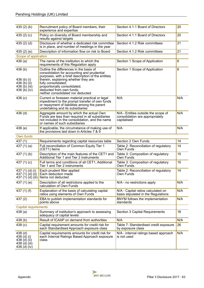| 435(2)(b)                                                                          | Recruitment policy of Board members, their<br>experience and expertise                                                                                                                                                                                                                                        | Section 4.1.1 Board of Directors                                                      | 20  |
|------------------------------------------------------------------------------------|---------------------------------------------------------------------------------------------------------------------------------------------------------------------------------------------------------------------------------------------------------------------------------------------------------------|---------------------------------------------------------------------------------------|-----|
| 435 $(2)$ $(c)$                                                                    | Policy on diversity of Board membership and<br>results against targets                                                                                                                                                                                                                                        | Section 4.1.1 Board of Directors                                                      | 20  |
| 435(2)(d)                                                                          | Disclosure of whether a dedicated risk committee<br>is in place, and number of meetings in the year                                                                                                                                                                                                           | Section 4.1.2 Risk committees                                                         | 21  |
| 435(2)(e)                                                                          | Description of information flow on risk to Board                                                                                                                                                                                                                                                              | Section 4.1.2 Risk committees                                                         | 21  |
| Scope of application                                                               |                                                                                                                                                                                                                                                                                                               |                                                                                       |     |
| 436(a)                                                                             | The name of the institution to which the<br>requirements of this Regulation apply                                                                                                                                                                                                                             | Section 1 Scope of Application                                                        | 6   |
| 436(b)<br>436 (b) (i)<br>436 (b) (ii)<br>436 (b) (iii)<br>436 $(b)$ (iv)           | Outline the differences in the basis of<br>consolidation for accounting and prudential<br>purposes, with a brief description of the entities<br>therein, explaining whether they are:<br>fully consolidated;<br>proportionally consolidated;<br>deducted from own funds;<br>neither consolidated nor deducted | Section 1 Scope of Application                                                        | 6   |
| 436 (c)                                                                            | Current or foreseen material practical or legal<br>impediment to the prompt transfer of own funds<br>or repayment of liabilities among the parent<br>undertaking and its subsidiaries                                                                                                                         | N/A                                                                                   | N/A |
| $436$ (d)                                                                          | Aggregate amount by which the actual Own<br>Funds are less than required in all subsidiaries<br>not included in the consolidation, and the name<br>or names of such subsidiaries                                                                                                                              | N/A - Entities outside the scope of<br>consolidation are appropriately<br>capitalised | N/A |
| 436 (e)                                                                            | If applicable, the circumstance of making use of<br>the provisions laid down in Articles 7 & 9                                                                                                                                                                                                                | N/A                                                                                   | N/A |
| Own funds                                                                          |                                                                                                                                                                                                                                                                                                               |                                                                                       |     |
| 437 (1)                                                                            | Requirements regarding capital resources table                                                                                                                                                                                                                                                                | Section 2 Own Funds                                                                   | 14  |
| 437 $(1)(a)$                                                                       | Full reconciliation of Common Equity Tier 1<br>(CET1) items                                                                                                                                                                                                                                                   | Table 2: Reconciliation of regulatory<br>Own Funds                                    | 14  |
| 437 $(1)(b)$                                                                       | Description of the main features of the CET1 and<br>Additional Tier 1 and Tier 2 instruments                                                                                                                                                                                                                  | Table 3: Composition of regulatory<br>Own Funds                                       | 15  |
| 437 $(1)(c)$                                                                       | Full terms and conditions of all CET1, Additional<br>Tier 1 and Tier 2 instruments                                                                                                                                                                                                                            | Table 3: Composition of regulatory<br>Own Funds                                       | 15  |
| 437 (1) (d) (i)<br>437 $(1)(d)(ii)$                                                | Each prudent filter applied<br>Each deduction made<br>437 $(1)$ $(d)$ $(iii)$ Items not deducted                                                                                                                                                                                                              | Table 2: Reconciliation of regulatory<br>Own Funds                                    | 14  |
| 437 (1) (e)                                                                        | Description of all restrictions applied to the<br>calculation of Own Funds                                                                                                                                                                                                                                    | N/A - no restrictions apply                                                           | N/A |
| 437 (1) (f)                                                                        | Explanation of the basis of calculating capital<br>ratios using elements of Own Funds                                                                                                                                                                                                                         | N/A - Capital ratios calculated on<br>basis stipulated in the Regulations             | N/A |
| 437(2)                                                                             | EBA to publish implementation standards for<br>points above                                                                                                                                                                                                                                                   | BNYM follows the implementation<br>standards                                          | N/A |
| <b>Capital requirements</b>                                                        |                                                                                                                                                                                                                                                                                                               |                                                                                       |     |
| 438(a)                                                                             | Summary of institution's approach to assessing<br>adequacy of capital levels                                                                                                                                                                                                                                  | Section 3 Capital Requirements                                                        | 18  |
| 438 (b)                                                                            | Result of ICAAP on demand from authorities                                                                                                                                                                                                                                                                    | N/A                                                                                   | N/A |
| 438(c)                                                                             | Capital requirement amounts for credit risk for<br>each Standardised Approach exposure class                                                                                                                                                                                                                  | Table 7: Standardised credit exposure<br>by exposure class                            | 26  |
| 438 <sub>(d)</sub><br>438 (d) (i)<br>438 (d) (ii)<br>438 (d) (iii)<br>438 (d) (iv) | Capital requirements amounts for credit risk for<br>each Internal Ratings Based Approach exposure<br>class                                                                                                                                                                                                    | N/A - internal ratings based approach<br>is not used                                  | N/A |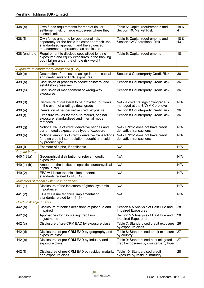| 438(e)                  | Own funds requirements for market risk or<br>settlement risk, or large exposures where they<br>exceed limits                                                                   | Table 6: Capital requirements and<br>Section 10: Market Risk                  | 18 &<br>41 |
|-------------------------|--------------------------------------------------------------------------------------------------------------------------------------------------------------------------------|-------------------------------------------------------------------------------|------------|
| 438 (f)                 | Own funds amounts for operational risk,<br>separately for the basic indicator approach, the<br>standardised approach, and the advanced<br>measurement approaches as applicable | Table 6: Capital requirements and<br>Section 12: Operational Risk             | 18 &<br>43 |
| 438 (endnote)           | Requirement to disclose specialised lending<br>exposures and equity exposures in the banking<br>book falling under the simple risk weight<br>approach                          | Table 6: Capital requirements                                                 | 18         |
|                         | Exposure to counterparty credit risk (CCR)                                                                                                                                     |                                                                               |            |
| 439(a)                  | Description of process to assign internal capital<br>and credit limits to CCR exposures                                                                                        | Section 8 Counterparty Credit Risk                                            | 36         |
| 439 <sub>(b)</sub>      | Discussion of process to secure collateral and<br>establishing reserves                                                                                                        | Section 8 Counterparty Credit Risk                                            | 36         |
| 439 (c)                 | Discussion of management of wrong-way<br>exposures                                                                                                                             | Section 8 Counterparty Credit Risk                                            | 36         |
| $439$ (d)               | Disclosure of collateral to be provided (outflows)<br>in the event of a ratings downgrade                                                                                      | N/A - a credit ratings downgrade is<br>managed at the BNYM Corp level         | N/A        |
| 439(e)                  | Derivation of net derivative credit exposure                                                                                                                                   | Section 8 Counterparty Credit Risk                                            | 36         |
| 439 (f)                 | Exposure values for mark-to-market, original<br>exposure, standardised and internal model<br>methods                                                                           | Section 8 Counterparty Credit Risk                                            | 36         |
| 439(g)                  | Notional value of credit derivative hedges and<br>current credit exposure by type of exposure                                                                                  | N/A - BNYM does not have credit<br>derivative transactions                    | N/A        |
| 439(h)                  | Notional amounts of credit derivative transactions<br>for own credit, intermediation, bought and sold,<br>by product type                                                      | N/A - BNYM does not have credit<br>derivative transactions                    | N/A        |
| 439 (i)                 | Estimate of alpha, if applicable                                                                                                                                               | N/A                                                                           | N/A        |
| <b>Capital buffers</b>  |                                                                                                                                                                                |                                                                               |            |
| 440 $(1)(a)$            | Geographical distribution of relevant credit<br>exposures                                                                                                                      | N/A                                                                           | N/A        |
| 440 $(1)(b)$            | Amount of the institution specific countercyclical<br>capital buffer                                                                                                           | N/A                                                                           | N/A        |
| 440 (2)                 | EBA will issue technical implementation<br>standards related to 440 (1)                                                                                                        | N/A                                                                           | N/A        |
|                         | Indicators of global systemic importance                                                                                                                                       |                                                                               |            |
| 441 (1)                 | Disclosure of the indicators of global systemic<br>importance                                                                                                                  | N/A                                                                           | N/A        |
| 441 (2)                 | EBA will issue technical implementation<br>standards related to 441 (1)                                                                                                        | N/A                                                                           | N/A        |
| Credit risk adjustments |                                                                                                                                                                                |                                                                               |            |
| 442 (a)                 | Disclosure of bank's definitions of past due and<br>impaired                                                                                                                   | Section 5.5 Analysis of Past Due and<br><b>Impaired Exposures</b>             | 28         |
| 442(b)                  | Approaches for calculating credit risk<br>adjustments                                                                                                                          | Section 5.5 Analysis of Past Due and<br><b>Impaired Exposures</b>             | 28         |
| 442 (c)                 | Disclosure of pre-CRM EAD by exposure class                                                                                                                                    | Table 7: Standardised credit exposure<br>by exposure class                    | 26         |
| 442 (d)                 | Disclosures of pre-CRM EAD by geography and<br>exposure class                                                                                                                  | Table 8: Standardised credit exposure<br>by country                           | 27         |
| 442 (e)                 | Disclosures of pre-CRM EAD by industry and<br>exposure class                                                                                                                   | Table 9: Standardised post mitigated<br>credit exposures by counterparty type | 27         |
| 442 (f)                 | Disclosures of pre-CRM EAD by residual maturity<br>and exposure class                                                                                                          | Table 10: Standardised credit<br>exposure by residual maturity                | 28         |

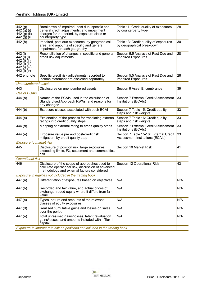| 442 (g)<br>442 (g) (i)<br>442 (g) (ii)<br>442 (g) (iii)                                | Breakdown of impaired, past due, specific and<br>general credit adjustments, and impairment<br>charges for the period, by exposure class or<br>counterparty type | Table 11: Credit quality of exposures<br>by counterparty type             | 28  |
|----------------------------------------------------------------------------------------|------------------------------------------------------------------------------------------------------------------------------------------------------------------|---------------------------------------------------------------------------|-----|
| 442(h)                                                                                 | Impaired, past due exposures, by geographical<br>area, and amounts of specific and general<br>impairment for each geography                                      | Table 13: Credit quality of exposures<br>by geographical breakdown        | 30  |
| 442 (i)<br>442 (i) (i)<br>442 (i) (ii)<br>442 (i) (iii)<br>442 (i) (iv)<br>442 (i) (v) | Reconciliation of changes in specific and general<br>credit risk adjustments                                                                                     | Section 5.5 Analysis of Past Due and<br><b>Impaired Exposures</b>         | 28  |
| 442 endnote                                                                            | Specific credit risk adjustments recorded to<br>income statement are disclosed separately                                                                        | Section 5.5 Analysis of Past Due and<br><b>Impaired Exposures</b>         | 28  |
| <b>Unencumbered assets</b>                                                             |                                                                                                                                                                  |                                                                           |     |
| 443                                                                                    | Disclosures on unencumbered assets                                                                                                                               | <b>Section 9 Asset Encumbrance</b>                                        | 39  |
| Use of ECAIs                                                                           |                                                                                                                                                                  |                                                                           |     |
| 444 $(a)$                                                                              | Names of the ECAIs used in the calculation of<br>Standardised Approach RWAs, and reasons for<br>any changes                                                      | <b>Section 7 External Credit Assessment</b><br>Institutions (ECAIs)       | 33  |
| 444 (b)                                                                                | Exposure classes associated with each ECAI                                                                                                                       | Section 7 Table 15: Credit quality<br>steps and risk weights              | 33  |
| 444 (c)                                                                                | Explanation of the process for translating external<br>ratings into credit quality steps                                                                         | Section 7 Table 16: Credit quality<br>steps and risk weights              | 33  |
| $444$ (d)                                                                              | Mapping of external rating to credit quality steps                                                                                                               | Section 7 External Credit Assessment<br>Institutions (ECAIs)              | 33  |
| 444 (e)                                                                                | Exposure value pre and post-credit risk<br>mitigation, by credit quality step                                                                                    | Section 7 Table 15-18: External Credit<br>Assessment Institutions (ECAIs) | 33  |
| <b>Exposure to market risk</b>                                                         |                                                                                                                                                                  |                                                                           |     |
| 445                                                                                    | Disclosure of position risk, large exposures<br>exceeding limits, FX, settlement and commodities<br>risk                                                         | Section 10 Market Risk                                                    | 41  |
| <b>Operational risk</b>                                                                |                                                                                                                                                                  |                                                                           |     |
| 446                                                                                    | Disclosure of the scope of approaches used to<br>calculate operational risk, discussion of advanced<br>methodology and external factors considered               | Section 12 Operational Risk                                               | 43  |
|                                                                                        | Exposure in equities not included in the trading book                                                                                                            |                                                                           |     |
| 447 (a)                                                                                | Differentiation of exposures based on objectives                                                                                                                 | N/A                                                                       | N/A |
| 447(b)                                                                                 | Recorded and fair value, and actual prices of<br>exchange traded equity where it differs from fair<br>value                                                      | N/A                                                                       | N/A |
| 447 (c)                                                                                | Types, nature and amounts of the relevant<br>classes of equity exposures                                                                                         | N/A                                                                       | N/A |
| 447 (d)                                                                                | Realised cumulative gains and losses on sales<br>over the period                                                                                                 | N/A                                                                       | N/A |
| 447 (e)                                                                                | Total unrealised gains/losses, latent revaluation<br>gains/losses, and amounts included within Tier 1<br>capital                                                 | N/A                                                                       | N/A |
| Exposure to interest rate risk on positions not included in the trading book           |                                                                                                                                                                  |                                                                           |     |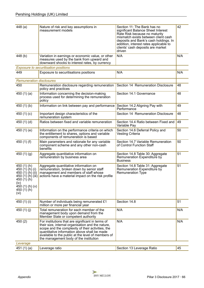| 448(a)                                                                                                                                             | Nature of risk and key assumptions in<br>measurement models                                                                                                                                                                                                                                                 | Section 11: The Bank has no<br>significant Balance Sheet Interest<br>Rate Risk because no maturity<br>mismatch exists between client cash<br>deposits and Bank's cash holdings. In<br>addition, interest rates applicable to<br>clients' cash deposits are market<br>driven | 42  |
|----------------------------------------------------------------------------------------------------------------------------------------------------|-------------------------------------------------------------------------------------------------------------------------------------------------------------------------------------------------------------------------------------------------------------------------------------------------------------|-----------------------------------------------------------------------------------------------------------------------------------------------------------------------------------------------------------------------------------------------------------------------------|-----|
| 448 (b)                                                                                                                                            | Variation in earnings or economic value, or other<br>measures used by the bank from upward and<br>downward shocks to interest rates, by currency                                                                                                                                                            | N/A                                                                                                                                                                                                                                                                         | N/A |
|                                                                                                                                                    | <b>Exposure to securitisation positions</b>                                                                                                                                                                                                                                                                 |                                                                                                                                                                                                                                                                             |     |
| 449                                                                                                                                                | Exposure to securitisations positions                                                                                                                                                                                                                                                                       | N/A                                                                                                                                                                                                                                                                         | N/A |
| <b>Remuneration disclosures</b>                                                                                                                    |                                                                                                                                                                                                                                                                                                             |                                                                                                                                                                                                                                                                             |     |
| 450                                                                                                                                                | Remuneration disclosure regarding remuneration<br>policy and practices                                                                                                                                                                                                                                      | Section 14 Remuneration Disclosure                                                                                                                                                                                                                                          | 48  |
| 450 $(1)(a)$                                                                                                                                       | Information concerning the decision-making<br>process used for determining the remuneration<br>policy                                                                                                                                                                                                       | Section 14.1 Governance                                                                                                                                                                                                                                                     | 48  |
| 450 $(1)(b)$                                                                                                                                       | Information on link between pay and performance                                                                                                                                                                                                                                                             | Section 14.2 Aligning Pay with<br>Performance                                                                                                                                                                                                                               | 49  |
| 450 $(1)(c)$                                                                                                                                       | Important design characteristics of the<br>remuneration system                                                                                                                                                                                                                                              | Section 14 Remuneration Disclosure                                                                                                                                                                                                                                          | 48  |
| 450 $(1)(d)$                                                                                                                                       | Ratios between fixed and variable remuneration                                                                                                                                                                                                                                                              | Section 14.4 Ratio between Fixed and<br>Variable Pay                                                                                                                                                                                                                        | 49  |
| 450 (1) (e)                                                                                                                                        | Information on the performance criteria on which<br>the entitlement to shares, options and variable<br>components of remuneration is based                                                                                                                                                                  | Section 14.6 Deferral Policy and<br>Vesting Criteria                                                                                                                                                                                                                        | 50  |
| 450 $(1)$ $(f)$                                                                                                                                    | Main parameters and rationale for any variable<br>component scheme and any other non-cash<br>benefits                                                                                                                                                                                                       | Section 14.7 Variable Remuneration<br>of Control Function Staff                                                                                                                                                                                                             | 50  |
| 450 $(1)(g)$                                                                                                                                       | Aggregate quantitative information on<br>remuneration by business area                                                                                                                                                                                                                                      | Section 14.8 Table 30: Aggregate<br>Remuneration Expenditure by<br><b>Business</b>                                                                                                                                                                                          | 51  |
| 450 $(1)$ $(h)$<br>450 $(1)(h)(i)$<br>450 $(1)$ $(h)$ $(ii)$<br>450 (1) (h) (iii)<br>450 (1) (h)<br>(iv)<br>450 (1) (h) (v)<br>450 (1) (h)<br>(Vi) | Aggregate quantitative information on<br>remuneration, broken down by senior staff<br>management and members of staff whose<br>actions have a material impact on the risk profile                                                                                                                           | Section 14.8 Table 31: Aggregate<br>Remuneration Expenditure by<br><b>Remuneration Type</b>                                                                                                                                                                                 | 51  |
| 450 (1) (i)                                                                                                                                        | Number of individuals being remunerated £1<br>million or more per financial year                                                                                                                                                                                                                            | Section 14.8                                                                                                                                                                                                                                                                | 51  |
| 450 $(1)(j)$                                                                                                                                       | Total remuneration for each member of the<br>management body upon demand from the<br>Member State or competent authority                                                                                                                                                                                    | N/A                                                                                                                                                                                                                                                                         | N/A |
| 450(2)                                                                                                                                             | For institutions that are significant in terms of<br>their size, internal organisation and the nature,<br>scope and the complexity of their activities, the<br>quantitative information above shall be made<br>available to the public at the level of members of<br>the management body of the institution | N/A                                                                                                                                                                                                                                                                         | N/A |
| Leverage                                                                                                                                           |                                                                                                                                                                                                                                                                                                             |                                                                                                                                                                                                                                                                             |     |
| 451 $(1)(a)$                                                                                                                                       | Leverage ratio                                                                                                                                                                                                                                                                                              | Section 13 Leverage Ratio                                                                                                                                                                                                                                                   | 45  |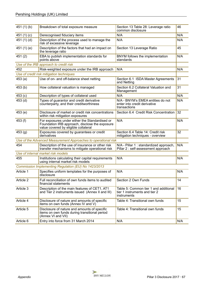| 451 $(1)(b)$ | Breakdown of total exposure measure                                                                                                      | Section 13 Table 28: Leverage ratio<br>common disclosure                              | 46  |
|--------------|------------------------------------------------------------------------------------------------------------------------------------------|---------------------------------------------------------------------------------------|-----|
| 451 $(1)(c)$ | Derecognised fiduciary items                                                                                                             | N/A                                                                                   | N/A |
| 451 $(1)(d)$ | Description of the process used to manage the<br>risk of excessive leverage                                                              | N/A                                                                                   | N/A |
| 451 (1) (e)  | Description of the factors that had an impact on<br>the leverage ratio                                                                   | Section 13 Leverage Ratio                                                             | 45  |
| 451(2)       | EBA to publish implementation standards for<br>points above                                                                              | BNYM follows the implementation<br>standards                                          | N/A |
|              | Use of the IRB approach to credit risk                                                                                                   |                                                                                       |     |
| 452          | Risk-weighted exposure under the IRB approach                                                                                            | N/A                                                                                   | N/A |
|              | Use of credit risk mitigation techniques                                                                                                 |                                                                                       |     |
| 453(a)       | Use of on- and off-balance sheet netting                                                                                                 | Section 6.1 ISDA Master Agreements<br>and Netting                                     | 31  |
| 453(b)       | How collateral valuation is managed                                                                                                      | Section 6.2 Collateral Valuation and<br>Management                                    | 31  |
| 453(c)       | Description of types of collateral used                                                                                                  | N/A                                                                                   | N/A |
| 453 (d)      | Types of guarantor and credit derivative<br>counterparty, and their creditworthiness                                                     | N/A - BNYM's EMEA entities do not<br>enter into credit derivative<br>transactions     | N/A |
| 453(e)       | Disclosure of market or credit risk concentrations<br>within risk mitigation exposures                                                   | Section 6.4 Credit Risk Concentration                                                 | 32  |
| 453 (f)      | For exposures under either the Standardised or<br>Foundation IRB approach, disclose the exposure<br>value covered by eligible collateral | N/A                                                                                   | N/A |
| 453(g)       | Exposures covered by guarantees or credit<br>derivatives                                                                                 | Section 6.4 Table 14: Credit risk<br>mitigation techniques - overview                 | 32  |
|              | Use of the Advanced Measurement Approaches to operational risk                                                                           |                                                                                       |     |
| 454          | Description of the use of insurance or other risk<br>transfer mechanisms to mitigate operational risk                                    | N/A - Pillar 1 : standardized approach,<br>Pillar 2 : self-assessment approach        | N/A |
|              | Use of internal market risk models                                                                                                       |                                                                                       |     |
| 455          | Institutions calculating their capital requirements<br>using internal market risk models                                                 | N/A                                                                                   | N/A |
|              | Commission Implementing Regulation (EU) No 1423/2013                                                                                     |                                                                                       |     |
| Article 1    | Specifies uniform templates for the purposes of<br>disclosure                                                                            | N/A                                                                                   | N/A |
| Article 2    | Full reconciliation of own funds items to audited<br>financial statements                                                                | Section 2 Own Funds                                                                   | 14  |
| Article 3    | Description of the main features of CET1, AT1<br>and Tier 2 instruments issued (Annex II and III)                                        | Table 5: Common tier 1 and additional<br>tier 1 instruments and tier 2<br>instruments | 16  |
| Article 4    | Disclosure of nature and amounts of specific<br>items on own funds (Annex IV and V)                                                      | Table 4: Transitional own funds                                                       | 15  |
| Article 5    | Disclosure of nature and amounts of specific<br>items on own funds during transitional period<br>(Annex VI and VII)                      | Table 4: Transitional own funds                                                       | 15  |
| Article 6    | Entry into force from 31 March 2014                                                                                                      | N/A                                                                                   | N/A |